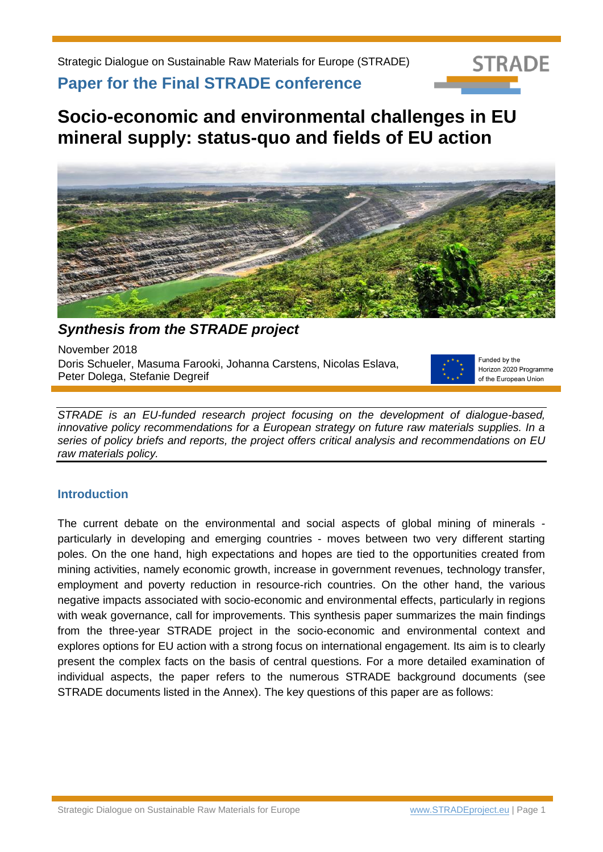

**Paper for the Final STRADE conference**

**Socio-economic and environmental challenges in EU mineral supply: status-quo and fields of EU action**



*Synthesis from the STRADE project*

November 2018 Doris Schueler, Masuma Farooki, Johanna Carstens, Nicolas Eslava, Peter Dolega, Stefanie Degreif



Funded by the Horizon 2020 Programme of the European Union

*STRADE is an EU-funded research project focusing on the development of dialogue-based, innovative policy recommendations for a European strategy on future raw materials supplies. In a series of policy briefs and reports, the project offers critical analysis and recommendations on EU raw materials policy.*

## **Introduction**

The current debate on the environmental and social aspects of global mining of minerals particularly in developing and emerging countries - moves between two very different starting poles. On the one hand, high expectations and hopes are tied to the opportunities created from mining activities, namely economic growth, increase in government revenues, technology transfer, employment and poverty reduction in resource-rich countries. On the other hand, the various negative impacts associated with socio-economic and environmental effects, particularly in regions with weak governance, call for improvements. This synthesis paper summarizes the main findings from the three-year STRADE project in the socio-economic and environmental context and explores options for EU action with a strong focus on international engagement. Its aim is to clearly present the complex facts on the basis of central questions. For a more detailed examination of individual aspects, the paper refers to the numerous STRADE background documents (see STRADE documents listed in the Annex). The key questions of this paper are as follows: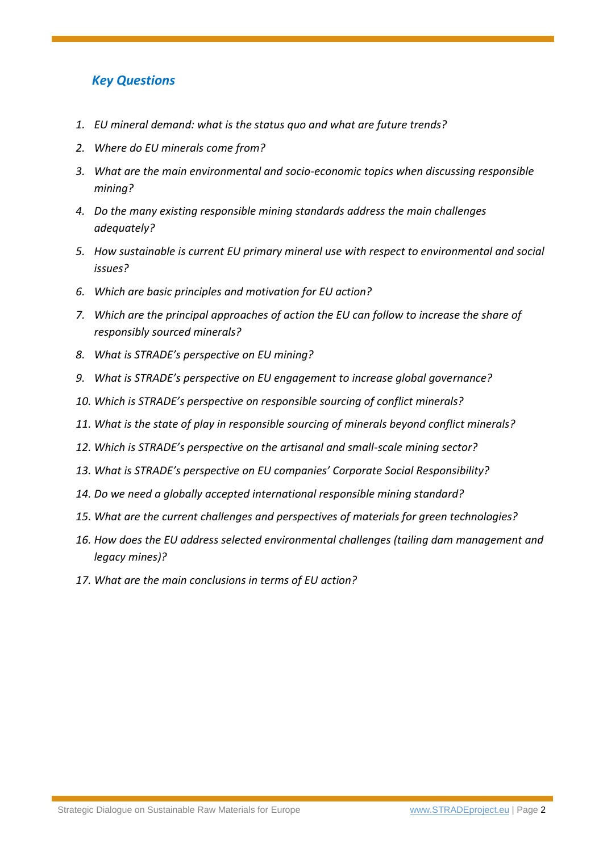# *Key Questions*

- *1. [EU mineral demand: what is the status quo and what are future trends?](#page-2-0)*
- *2. [Where do EU minerals come from?](#page-2-1)*
- *3. [What are the main environmental and socio-economic topics when discussing responsible](#page-3-0)  [mining?](#page-3-0)*
- *4. [Do the many existing responsible mining standards address the main challenges](#page-4-0)  [adequately?](#page-4-0)*
- *5. [How sustainable is current EU primary mineral use with respect to environmental and social](#page-5-0)  [issues?](#page-5-0)*
- *6. [Which are basic principles and motivation for EU action?](#page-6-0)*
- *7. [Which are the principal approaches of action the EU can follow to increase the share of](#page-8-0)  [responsibly sourced minerals?](#page-8-0)*
- *8. [What is STRADE's perspective on EU mining?](#page-9-0)*
- *9. [What is STRADE's perspective on EU engagement to increase global gove](#page-10-0)rnance?*
- *10. [Which is STRADE's perspective on responsible sourcing of conflict minerals?](#page-11-0)*
- *11. [What is the state of play in responsible sourcing of minerals beyond conflict minerals?](#page-13-0)*
- *12. [Which is STRADE's perspective on the artisanal and small](#page-15-0)-scale mining sector?*
- *13. [What is STRADE's perspective on EU companies' Corporate Social Responsibility?](#page-16-0)*
- *14. [Do we need a globally accepted international responsible mining standard?](#page-17-0)*
- *15. [What are the current challenges and perspectives of materials for green technologies?](#page-18-0)*
- *16. [How does the EU address selected environmental challenges \(tailing dam management and](#page-20-0)  [legacy mines\)?](#page-20-0)*
- *17. [What are the main conclusions in terms of EU action?](#page-22-0)*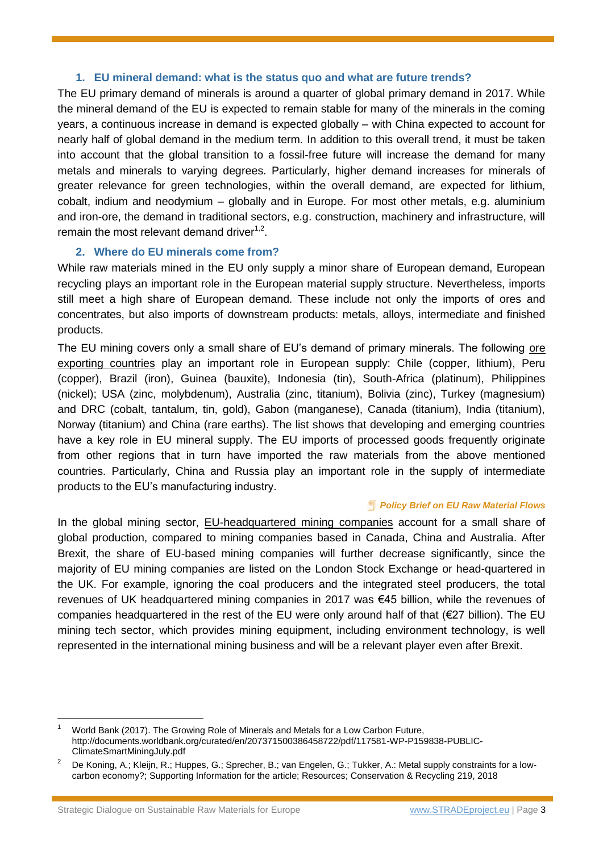#### **1. EU mineral demand: what is the status quo and what are future trends?**

<span id="page-2-0"></span>The EU primary demand of minerals is around a quarter of global primary demand in 2017. While the mineral demand of the EU is expected to remain stable for many of the minerals in the coming years, a continuous increase in demand is expected globally – with China expected to account for nearly half of global demand in the medium term. In addition to this overall trend, it must be taken into account that the global transition to a fossil-free future will increase the demand for many metals and minerals to varying degrees. Particularly, higher demand increases for minerals of greater relevance for green technologies, within the overall demand, are expected for lithium, cobalt, indium and neodymium – globally and in Europe. For most other metals, e.g. aluminium and iron-ore, the demand in traditional sectors, e.g. construction, machinery and infrastructure, will remain the most relevant demand driver $1,2$ .

## **2. Where do EU minerals come from?**

<span id="page-2-1"></span>While raw materials mined in the EU only supply a minor share of European demand, European recycling plays an important role in the European material supply structure. Nevertheless, imports still meet a high share of European demand. These include not only the imports of ores and concentrates, but also imports of downstream products: metals, alloys, intermediate and finished products.

The EU mining covers only a small share of EU's demand of primary minerals. The following ore exporting countries play an important role in European supply: Chile (copper, lithium), Peru (copper), Brazil (iron), Guinea (bauxite), Indonesia (tin), South-Africa (platinum), Philippines (nickel); USA (zinc, molybdenum), Australia (zinc, titanium), Bolivia (zinc), Turkey (magnesium) and DRC (cobalt, tantalum, tin, gold), Gabon (manganese), Canada (titanium), India (titanium), Norway (titanium) and China (rare earths). The list shows that developing and emerging countries have a key role in EU mineral supply. The EU imports of processed goods frequently originate from other regions that in turn have imported the raw materials from the above mentioned countries. Particularly, China and Russia play an important role in the supply of intermediate products to the EU's manufacturing industry.

#### *[Policy Brief on EU Raw Material Flows](http://www.stradeproject.eu/fileadmin/user_upload/pdf/STRADEPolBrf_02-2017_RawMaterialFlows_Mar2017_FINAL.pdf)*

In the global mining sector, **EU-headquartered mining companies** account for a small share of global production, compared to mining companies based in Canada, China and Australia. After Brexit, the share of EU-based mining companies will further decrease significantly, since the majority of EU mining companies are listed on the London Stock Exchange or head-quartered in the UK. For example, ignoring the coal producers and the integrated steel producers, the total revenues of UK headquartered mining companies in 2017 was €45 billion, while the revenues of companies headquartered in the rest of the EU were only around half of that (€27 billion). The EU mining tech sector, which provides mining equipment, including environment technology, is well represented in the international mining business and will be a relevant player even after Brexit.

<sup>1</sup> World Bank (2017). The Growing Role of Minerals and Metals for a Low Carbon Future, http://documents.worldbank.org/curated/en/207371500386458722/pdf/117581-WP-P159838-PUBLIC-ClimateSmartMiningJuly.pdf

<sup>2</sup> De Koning, A.; Kleijn, R.; Huppes, G.; Sprecher, B.; van Engelen, G.; Tukker, A.: Metal supply constraints for a lowcarbon economy?; Supporting Information for the article; Resources; Conservation & Recycling 219, 2018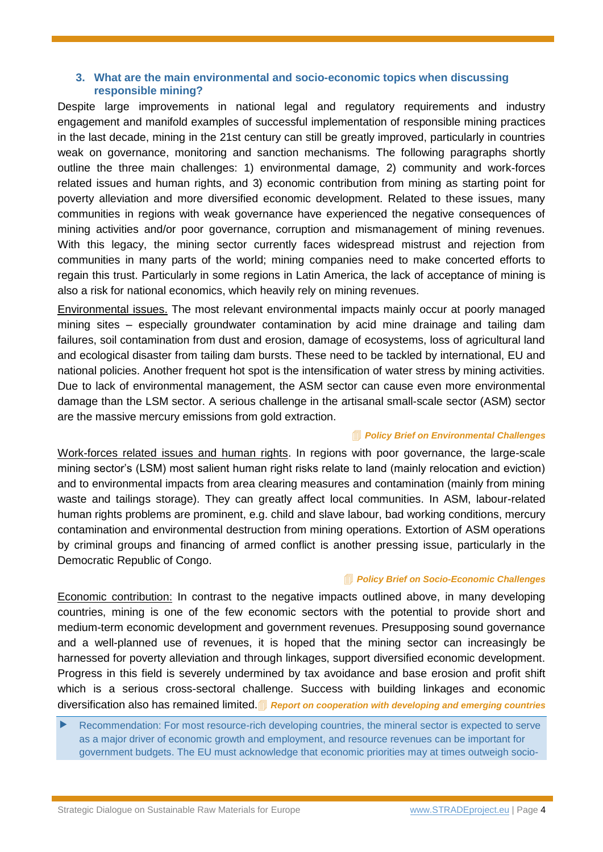#### <span id="page-3-0"></span>**3. What are the main environmental and socio-economic topics when discussing responsible mining?**

Despite large improvements in national legal and regulatory requirements and industry engagement and manifold examples of successful implementation of responsible mining practices in the last decade, mining in the 21st century can still be greatly improved, particularly in countries weak on governance, monitoring and sanction mechanisms. The following paragraphs shortly outline the three main challenges: 1) environmental damage, 2) community and work-forces related issues and human rights, and 3) economic contribution from mining as starting point for poverty alleviation and more diversified economic development. Related to these issues, many communities in regions with weak governance have experienced the negative consequences of mining activities and/or poor governance, corruption and mismanagement of mining revenues. With this legacy, the mining sector currently faces widespread mistrust and rejection from communities in many parts of the world; mining companies need to make concerted efforts to regain this trust. Particularly in some regions in Latin America, the lack of acceptance of mining is also a risk for national economics, which heavily rely on mining revenues.

Environmental issues. The most relevant environmental impacts mainly occur at poorly managed mining sites – especially groundwater contamination by acid mine drainage and tailing dam failures, soil contamination from dust and erosion, damage of ecosystems, loss of agricultural land and ecological disaster from tailing dam bursts. These need to be tackled by international, EU and national policies. Another frequent hot spot is the intensification of water stress by mining activities. Due to lack of environmental management, the ASM sector can cause even more environmental damage than the LSM sector. A serious challenge in the artisanal small-scale sector (ASM) sector are the massive mercury emissions from gold extraction.

#### *[Policy Brief on Environmental Challenges](http://www.stradeproject.eu/fileadmin/user_upload/pdf/PolicyBrief_04-2016_Sep2016_FINAL.pdf)*

Work-forces related issues and human rights. In regions with poor governance, the large-scale mining sector's (LSM) most salient human right risks relate to land (mainly relocation and eviction) and to environmental impacts from area clearing measures and contamination (mainly from mining waste and tailings storage). They can greatly affect local communities. In ASM, labour-related human rights problems are prominent, e.g. child and slave labour, bad working conditions, mercury contamination and environmental destruction from mining operations. Extortion of ASM operations by criminal groups and financing of armed conflict is another pressing issue, particularly in the Democratic Republic of Congo.

#### *[Policy Brief on Socio-Economic Challenges](http://www.stradeproject.eu/fileadmin/user_upload/pdf/PolicyBrief_05-2016_Oct2016_FINAL.pdf)*

Economic contribution: In contrast to the negative impacts outlined above, in many developing countries, mining is one of the few economic sectors with the potential to provide short and medium-term economic development and government revenues. Presupposing sound governance and a well-planned use of revenues, it is hoped that the mining sector can increasingly be harnessed for poverty alleviation and through linkages, support diversified economic development. Progress in this field is severely undermined by tax avoidance and base erosion and profit shift which is a serious cross-sectoral challenge. Success with building linkages and economic diversification also has remained limited. **[Report on cooperation with developing and emerging countries](http://www.stradeproject.eu/index.php?id=43)** 

 Recommendation: For most resource-rich developing countries, the mineral sector is expected to serve as a major driver of economic growth and employment, and resource revenues can be important for government budgets. The EU must acknowledge that economic priorities may at times outweigh socio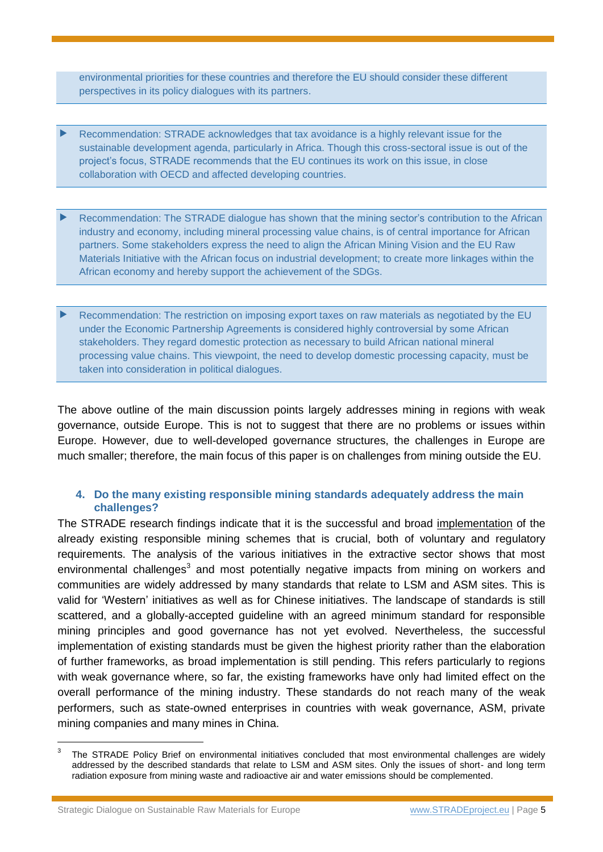environmental priorities for these countries and therefore the EU should consider these different perspectives in its policy dialogues with its partners.

- Recommendation: STRADE acknowledges that tax avoidance is a highly relevant issue for the sustainable development agenda, particularly in Africa. Though this cross-sectoral issue is out of the project's focus, STRADE recommends that the EU continues its work on this issue, in close collaboration with OECD and affected developing countries.
- Recommendation: The STRADE dialogue has shown that the mining sector's contribution to the African industry and economy, including mineral processing value chains, is of central importance for African partners. Some stakeholders express the need to align the African Mining Vision and the EU Raw Materials Initiative with the African focus on industrial development; to create more linkages within the African economy and hereby support the achievement of the SDGs.
- Recommendation: The restriction on imposing export taxes on raw materials as negotiated by the EU under the Economic Partnership Agreements is considered highly controversial by some African stakeholders. They regard domestic protection as necessary to build African national mineral processing value chains. This viewpoint, the need to develop domestic processing capacity, must be taken into consideration in political dialogues.

The above outline of the main discussion points largely addresses mining in regions with weak governance, outside Europe. This is not to suggest that there are no problems or issues within Europe. However, due to well-developed governance structures, the challenges in Europe are much smaller; therefore, the main focus of this paper is on challenges from mining outside the EU.

#### <span id="page-4-0"></span>**4. Do the many existing responsible mining standards adequately address the main challenges?**

The STRADE research findings indicate that it is the successful and broad implementation of the already existing responsible mining schemes that is crucial, both of voluntary and regulatory requirements. The analysis of the various initiatives in the extractive sector shows that most environmental challenges<sup>3</sup> and most potentially negative impacts from mining on workers and communities are widely addressed by many standards that relate to LSM and ASM sites. This is valid for 'Western' initiatives as well as for Chinese initiatives. The landscape of standards is still scattered, and a globally-accepted guideline with an agreed minimum standard for responsible mining principles and good governance has not yet evolved. Nevertheless, the successful implementation of existing standards must be given the highest priority rather than the elaboration of further frameworks, as broad implementation is still pending. This refers particularly to regions with weak governance where, so far, the existing frameworks have only had limited effect on the overall performance of the mining industry. These standards do not reach many of the weak performers, such as state-owned enterprises in countries with weak governance, ASM, private mining companies and many mines in China.

Strategic Dialogue on Sustainable Raw Materials for Europe [www.STRADEproject.eu](http://www.stradeproject.eu/) | Page 5

<sup>3</sup> The STRADE Policy Brief on environmental initiatives concluded that most environmental challenges are widely addressed by the described standards that relate to LSM and ASM sites. Only the issues of short- and long term radiation exposure from mining waste and radioactive air and water emissions should be complemented.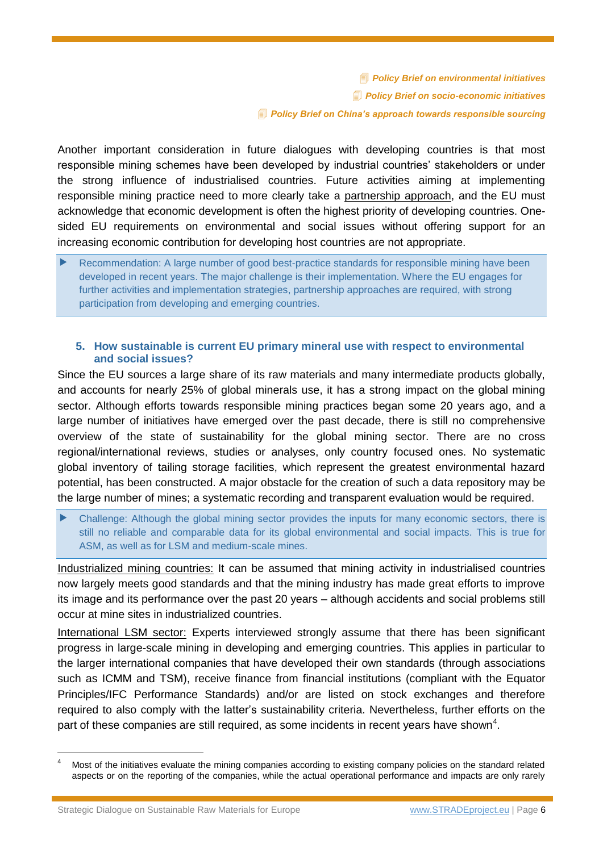*[Policy Brief on environmental initiatives](http://www.stradeproject.eu/fileadmin/user_upload/pdf/STRADE_PB_07_OEI_Nov.2016.pdf) [Policy Brief on socio-economic initiatives](http://www.stradeproject.eu/fileadmin/user_upload/pdf/PolicyBrief_09-2016_Dec2016_FINAL.pdf) [Policy Brief on China's approach towards responsible sourcing](http://www.stradeproject.eu/fileadmin/user_upload/pdf/STRADE_PB_03_2018_China_responsible_sourcing.pdf)*

Another important consideration in future dialogues with developing countries is that most responsible mining schemes have been developed by industrial countries' stakeholders or under the strong influence of industrialised countries. Future activities aiming at implementing responsible mining practice need to more clearly take a partnership approach, and the EU must acknowledge that economic development is often the highest priority of developing countries. Onesided EU requirements on environmental and social issues without offering support for an increasing economic contribution for developing host countries are not appropriate.

 Recommendation: A large number of good best-practice standards for responsible mining have been developed in recent years. The major challenge is their implementation. Where the EU engages for further activities and implementation strategies, partnership approaches are required, with strong participation from developing and emerging countries.

#### <span id="page-5-0"></span>**5. How sustainable is current EU primary mineral use with respect to environmental and social issues?**

Since the EU sources a large share of its raw materials and many intermediate products globally, and accounts for nearly 25% of global minerals use, it has a strong impact on the global mining sector. Although efforts towards responsible mining practices began some 20 years ago, and a large number of initiatives have emerged over the past decade, there is still no comprehensive overview of the state of sustainability for the global mining sector. There are no cross regional/international reviews, studies or analyses, only country focused ones. No systematic global inventory of tailing storage facilities, which represent the greatest environmental hazard potential, has been constructed. A major obstacle for the creation of such a data repository may be the large number of mines; a systematic recording and transparent evaluation would be required.

 Challenge: Although the global mining sector provides the inputs for many economic sectors, there is still no reliable and comparable data for its global environmental and social impacts. This is true for ASM, as well as for LSM and medium-scale mines.

Industrialized mining countries: It can be assumed that mining activity in industrialised countries now largely meets good standards and that the mining industry has made great efforts to improve its image and its performance over the past 20 years – although accidents and social problems still occur at mine sites in industrialized countries.

International LSM sector: Experts interviewed strongly assume that there has been significant progress in large-scale mining in developing and emerging countries. This applies in particular to the larger international companies that have developed their own standards (through associations such as ICMM and TSM), receive finance from financial institutions (compliant with the Equator Principles/IFC Performance Standards) and/or are listed on stock exchanges and therefore required to also comply with the latter's sustainability criteria. Nevertheless, further efforts on the part of these companies are still required, as some incidents in recent years have shown<sup>4</sup>.

Most of the initiatives evaluate the mining companies according to existing company policies on the standard related aspects or on the reporting of the companies, while the actual operational performance and impacts are only rarely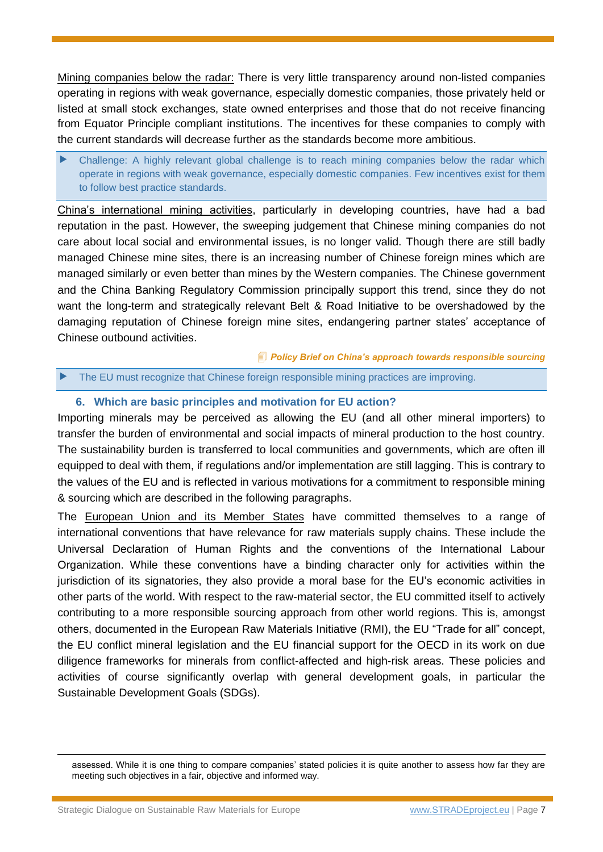Mining companies below the radar: There is very little transparency around non-listed companies operating in regions with weak governance, especially domestic companies, those privately held or listed at small stock exchanges, state owned enterprises and those that do not receive financing from Equator Principle compliant institutions. The incentives for these companies to comply with the current standards will decrease further as the standards become more ambitious.

 Challenge: A highly relevant global challenge is to reach mining companies below the radar which operate in regions with weak governance, especially domestic companies. Few incentives exist for them to follow best practice standards.

China's international mining activities, particularly in developing countries, have had a bad reputation in the past. However, the sweeping judgement that Chinese mining companies do not care about local social and environmental issues, is no longer valid. Though there are still badly managed Chinese mine sites, there is an increasing number of Chinese foreign mines which are managed similarly or even better than mines by the Western companies. The Chinese government and the China Banking Regulatory Commission principally support this trend, since they do not want the long-term and strategically relevant Belt & Road Initiative to be overshadowed by the damaging reputation of Chinese foreign mine sites, endangering partner states' acceptance of Chinese outbound activities.

*[Policy Brief on China's approach towards responsible sourcing](http://www.stradeproject.eu/fileadmin/user_upload/pdf/STRADE_PB_03_2018_China_responsible_sourcing.pdf)*

#### <span id="page-6-0"></span>The EU must recognize that Chinese foreign responsible mining practices are improving.

## **6. Which are basic principles and motivation for EU action?**

Importing minerals may be perceived as allowing the EU (and all other mineral importers) to transfer the burden of environmental and social impacts of mineral production to the host country. The sustainability burden is transferred to local communities and governments, which are often ill equipped to deal with them, if regulations and/or implementation are still lagging. This is contrary to the values of the EU and is reflected in various motivations for a commitment to responsible mining & sourcing which are described in the following paragraphs.

The European Union and its Member States have committed themselves to a range of international conventions that have relevance for raw materials supply chains. These include the Universal Declaration of Human Rights and the conventions of the International Labour Organization. While these conventions have a binding character only for activities within the jurisdiction of its signatories, they also provide a moral base for the EU's economic activities in other parts of the world. With respect to the raw-material sector, the EU committed itself to actively contributing to a more responsible sourcing approach from other world regions. This is, amongst others, documented in the European Raw Materials Initiative (RMI), the EU "Trade for all" concept, the EU conflict mineral legislation and the EU financial support for the OECD in its work on due diligence frameworks for minerals from conflict-affected and high-risk areas. These policies and activities of course significantly overlap with general development goals, in particular the Sustainable Development Goals (SDGs).

1

assessed. While it is one thing to compare companies' stated policies it is quite another to assess how far they are meeting such objectives in a fair, objective and informed way.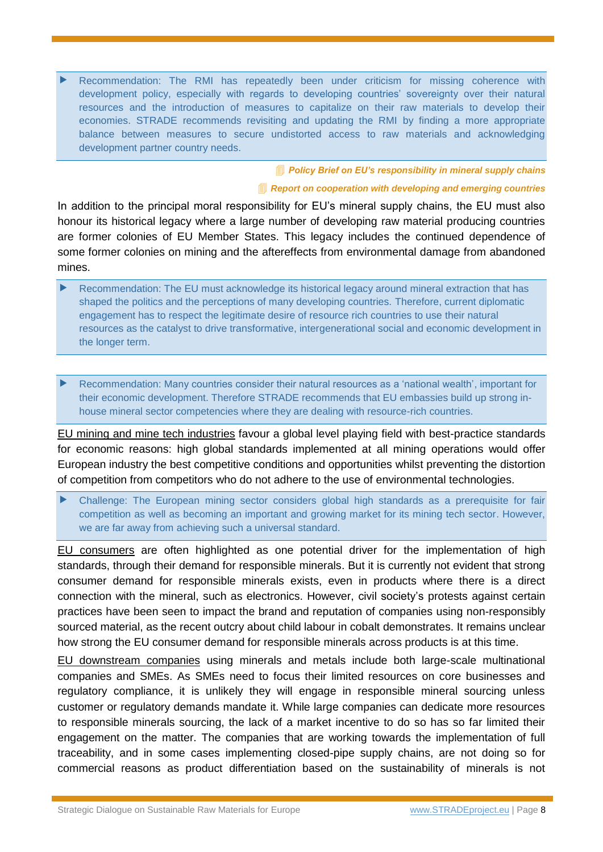Recommendation: The RMI has repeatedly been under criticism for missing coherence with development policy, especially with regards to developing countries' sovereignty over their natural resources and the introduction of measures to capitalize on their raw materials to develop their economies. STRADE recommends revisiting and updating the RMI by finding a more appropriate balance between measures to secure undistorted access to raw materials and acknowledging development partner country needs.

> *[Policy Brief on EU's responsibility in](http://www.stradeproject.eu/fileadmin/user_upload/pdf/PolicyBrief_01-2017_Feb2017_FINAL.pdf) mineral supply chains [Report on cooperation with developing and emerging countries](http://www.stradeproject.eu/index.php?id=43)*

In addition to the principal moral responsibility for EU's mineral supply chains, the EU must also honour its historical legacy where a large number of developing raw material producing countries are former colonies of EU Member States. This legacy includes the continued dependence of some former colonies on mining and the aftereffects from environmental damage from abandoned mines.

 Recommendation: The EU must acknowledge its historical legacy around mineral extraction that has shaped the politics and the perceptions of many developing countries. Therefore, current diplomatic engagement has to respect the legitimate desire of resource rich countries to use their natural resources as the catalyst to drive transformative, intergenerational social and economic development in the longer term.

 Recommendation: Many countries consider their natural resources as a 'national wealth', important for their economic development. Therefore STRADE recommends that EU embassies build up strong inhouse mineral sector competencies where they are dealing with resource-rich countries.

EU mining and mine tech industries favour a global level playing field with best-practice standards for economic reasons: high global standards implemented at all mining operations would offer European industry the best competitive conditions and opportunities whilst preventing the distortion of competition from competitors who do not adhere to the use of environmental technologies.

 Challenge: The European mining sector considers global high standards as a prerequisite for fair competition as well as becoming an important and growing market for its mining tech sector. However, we are far away from achieving such a universal standard.

EU consumers are often highlighted as one potential driver for the implementation of high standards, through their demand for responsible minerals. But it is currently not evident that strong consumer demand for responsible minerals exists, even in products where there is a direct connection with the mineral, such as electronics. However, civil society's protests against certain practices have been seen to impact the brand and reputation of companies using non-responsibly sourced material, as the recent outcry about child labour in cobalt demonstrates. It remains unclear how strong the EU consumer demand for responsible minerals across products is at this time.

EU downstream companies using minerals and metals include both large-scale multinational companies and SMEs. As SMEs need to focus their limited resources on core businesses and regulatory compliance, it is unlikely they will engage in responsible mineral sourcing unless customer or regulatory demands mandate it. While large companies can dedicate more resources to responsible minerals sourcing, the lack of a market incentive to do so has so far limited their engagement on the matter. The companies that are working towards the implementation of full traceability, and in some cases implementing closed-pipe supply chains, are not doing so for commercial reasons as product differentiation based on the sustainability of minerals is not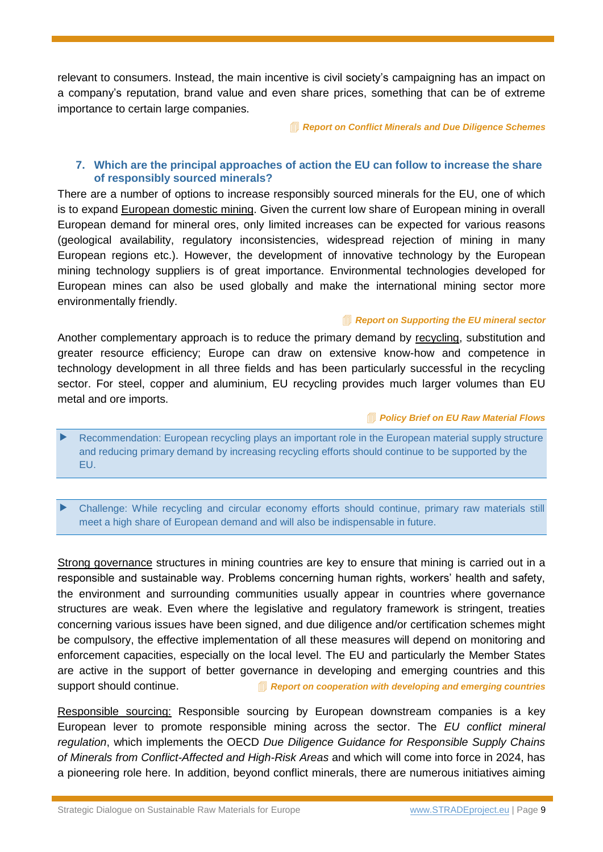relevant to consumers. Instead, the main incentive is civil society's campaigning has an impact on a company's reputation, brand value and even share prices, something that can be of extreme importance to certain large companies.

*[Report on Conflict Minerals and Due Diligence Schemes](http://www.stradeproject.eu/fileadmin/user_upload/pdf/STRADE_Report_D4.19_Due_Diligence_Certification.pdf)*

#### <span id="page-8-0"></span>**7. Which are the principal approaches of action the EU can follow to increase the share of responsibly sourced minerals?**

There are a number of options to increase responsibly sourced minerals for the EU, one of which is to expand European domestic mining. Given the current low share of European mining in overall European demand for mineral ores, only limited increases can be expected for various reasons (geological availability, regulatory inconsistencies, widespread rejection of mining in many European regions etc.). However, the development of innovative technology by the European mining technology suppliers is of great importance. Environmental technologies developed for European mines can also be used globally and make the international mining sector more environmentally friendly.

## *[Report on Supporting the EU mineral](http://www.stradeproject.eu/fileadmin/user_upload/pdf/STRADE_EU_Mining_Sector_Support_Sept2018.pdf) sector*

Another complementary approach is to reduce the primary demand by recycling, substitution and greater resource efficiency; Europe can draw on extensive know-how and competence in technology development in all three fields and has been particularly successful in the recycling sector. For steel, copper and aluminium, EU recycling provides much larger volumes than EU metal and ore imports.

#### *[Policy Brief on EU Raw Material Flows](http://www.stradeproject.eu/fileadmin/user_upload/pdf/STRADEPolBrf_02-2017_RawMaterialFlows_Mar2017_FINAL.pdf)*

 Recommendation: European recycling plays an important role in the European material supply structure and reducing primary demand by increasing recycling efforts should continue to be supported by the EU.

 Challenge: While recycling and circular economy efforts should continue, primary raw materials still meet a high share of European demand and will also be indispensable in future.

Strong governance structures in mining countries are key to ensure that mining is carried out in a responsible and sustainable way. Problems concerning human rights, workers' health and safety, the environment and surrounding communities usually appear in countries where governance structures are weak. Even where the legislative and regulatory framework is stringent, treaties concerning various issues have been signed, and due diligence and/or certification schemes might be compulsory, the effective implementation of all these measures will depend on monitoring and enforcement capacities, especially on the local level. The EU and particularly the Member States are active in the support of better governance in developing and emerging countries and this support should continue. *<u><b>[Report on cooperation with developing and emerging countries](http://www.stradeproject.eu/index.php?id=43)</u>* 

Responsible sourcing: Responsible sourcing by European downstream companies is a key European lever to promote responsible mining across the sector. The *EU conflict mineral regulation*, which implements the OECD *Due Diligence Guidance for Responsible Supply Chains of Minerals from Conflict-Affected and High-Risk Areas* and which will come into force in 2024, has a pioneering role here. In addition, beyond conflict minerals, there are numerous initiatives aiming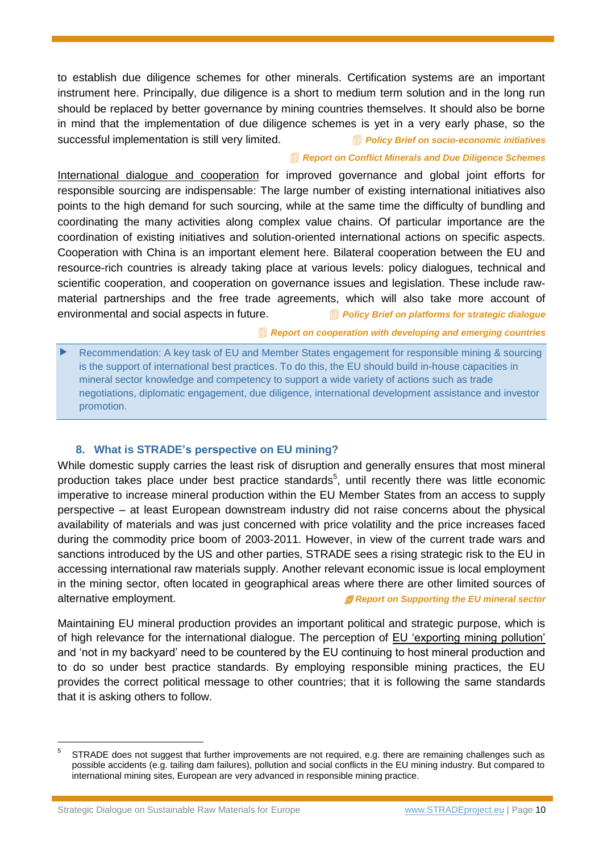to establish due diligence schemes for other minerals. Certification systems are an important instrument here. Principally, due diligence is a short to medium term solution and in the long run should be replaced by better governance by mining countries themselves. It should also be borne in mind that the implementation of due diligence schemes is yet in a very early phase, so the successful implementation is still very limited. *[Policy Brief on socio-economic initiatives](http://www.stradeproject.eu/fileadmin/user_upload/pdf/PolicyBrief_09-2016_Dec2016_FINAL.pdf)*

#### *[Report on Conflict Minerals and Due Diligence Schemes](http://www.stradeproject.eu/fileadmin/user_upload/pdf/STRADE_Report_D4.19_Due_Diligence_Certification.pdf)*

International dialogue and cooperation for improved governance and global joint efforts for responsible sourcing are indispensable: The large number of existing international initiatives also points to the high demand for such sourcing, while at the same time the difficulty of bundling and coordinating the many activities along complex value chains. Of particular importance are the coordination of existing initiatives and solution-oriented international actions on specific aspects. Cooperation with China is an important element here. Bilateral cooperation between the EU and resource-rich countries is already taking place at various levels: policy dialogues, technical and scientific cooperation, and cooperation on governance issues and legislation. These include rawmaterial partnerships and the free trade agreements, which will also take more account of environmental and social aspects in future. *[Policy Brief on platforms for strategic dialogue](http://www.stradeproject.eu/fileadmin/user_upload/pdf/STRADE_PB07_D4-21_IRGA_Jul2017_FINAL.pdf)*

*[Report on cooperation with developing and emerging countries](http://www.stradeproject.eu/index.php?id=43)*

 Recommendation: A key task of EU and Member States engagement for responsible mining & sourcing is the support of international best practices. To do this, the EU should build in-house capacities in mineral sector knowledge and competency to support a wide variety of actions such as trade negotiations, diplomatic engagement, due diligence, international development assistance and investor promotion.

#### **8. What is STRADE's perspective on EU mining?**

<span id="page-9-0"></span>While domestic supply carries the least risk of disruption and generally ensures that most mineral production takes place under best practice standards<sup>5</sup>, until recently there was little economic imperative to increase mineral production within the EU Member States from an access to supply perspective – at least European downstream industry did not raise concerns about the physical availability of materials and was just concerned with price volatility and the price increases faced during the commodity price boom of 2003-2011. However, in view of the current trade wars and sanctions introduced by the US and other parties, STRADE sees a rising strategic risk to the EU in accessing international raw materials supply. Another relevant economic issue is local employment in the mining sector, often located in geographical areas where there are other limited sources of alternative employment. *[Report on Supporting the EU mineral sector](http://www.stradeproject.eu/fileadmin/user_upload/pdf/STRADE_EU_Mining_Sector_Support_Sept2018.pdf)*

Maintaining EU mineral production provides an important political and strategic purpose, which is of high relevance for the international dialogue. The perception of EU 'exporting mining pollution' and 'not in my backyard' need to be countered by the EU continuing to host mineral production and to do so under best practice standards. By employing responsible mining practices, the EU provides the correct political message to other countries; that it is following the same standards that it is asking others to follow.

Strategic Dialogue on Sustainable Raw Materials for Europe [www.STRADEproject.eu](http://www.stradeproject.eu/) | Page 10

<sup>5</sup> STRADE does not suggest that further improvements are not required, e.g. there are remaining challenges such as possible accidents (e.g. tailing dam failures), pollution and social conflicts in the EU mining industry. But compared to international mining sites, European are very advanced in responsible mining practice.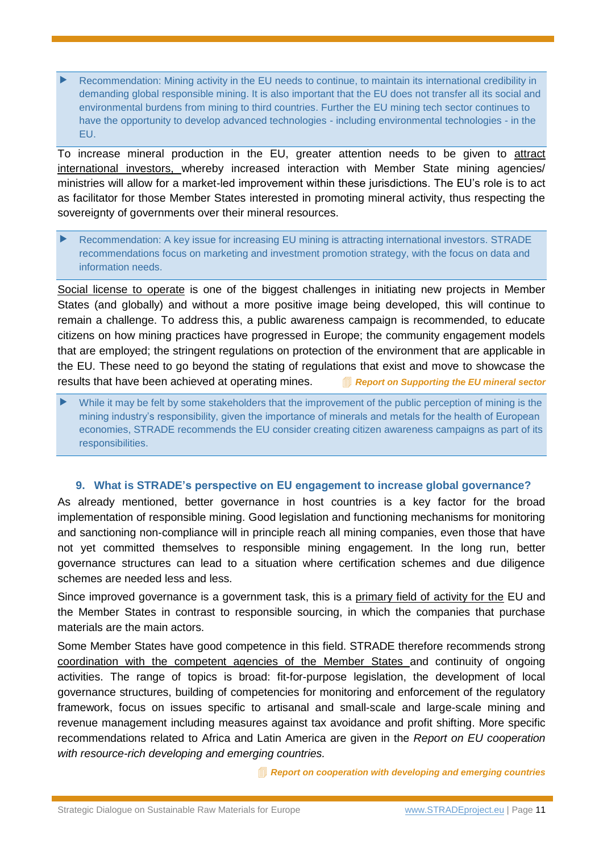Recommendation: Mining activity in the EU needs to continue, to maintain its international credibility in demanding global responsible mining. It is also important that the EU does not transfer all its social and environmental burdens from mining to third countries. Further the EU mining tech sector continues to have the opportunity to develop advanced technologies - including environmental technologies - in the EU.

To increase mineral production in the EU, greater attention needs to be given to attract international investors, whereby increased interaction with Member State mining agencies/ ministries will allow for a market-led improvement within these jurisdictions. The EU's role is to act as facilitator for those Member States interested in promoting mineral activity, thus respecting the sovereignty of governments over their mineral resources.

▶ Recommendation: A key issue for increasing EU mining is attracting international investors. STRADE recommendations focus on marketing and investment promotion strategy, with the focus on data and information needs.

Social license to operate is one of the biggest challenges in initiating new projects in Member States (and globally) and without a more positive image being developed, this will continue to remain a challenge. To address this, a public awareness campaign is recommended, to educate citizens on how mining practices have progressed in Europe; the community engagement models that are employed; the stringent regulations on protection of the environment that are applicable in the EU. These need to go beyond the stating of regulations that exist and move to showcase the results that have been achieved at operating mines. *<b>Report* on Supporting the EU mineral sector

 While it may be felt by some stakeholders that the improvement of the public perception of mining is the mining industry's responsibility, given the importance of minerals and metals for the health of European economies, STRADE recommends the EU consider creating citizen awareness campaigns as part of its responsibilities.

#### **9. What is STRADE's perspective on EU engagement to increase global governance?**

<span id="page-10-0"></span>As already mentioned, better governance in host countries is a key factor for the broad implementation of responsible mining. Good legislation and functioning mechanisms for monitoring and sanctioning non-compliance will in principle reach all mining companies, even those that have not yet committed themselves to responsible mining engagement. In the long run, better governance structures can lead to a situation where certification schemes and due diligence schemes are needed less and less.

Since improved governance is a government task, this is a primary field of activity for the EU and the Member States in contrast to responsible sourcing, in which the companies that purchase materials are the main actors.

Some Member States have good competence in this field. STRADE therefore recommends strong coordination with the competent agencies of the Member States and continuity of ongoing activities. The range of topics is broad: fit-for-purpose legislation, the development of local governance structures, building of competencies for monitoring and enforcement of the regulatory framework, focus on issues specific to artisanal and small-scale and large-scale mining and revenue management including measures against tax avoidance and profit shifting. More specific recommendations related to Africa and Latin America are given in the *Report on EU cooperation with resource-rich developing and emerging countries.*

*[Report on cooperation with developing and emerging countries](http://www.stradeproject.eu/index.php?id=43)*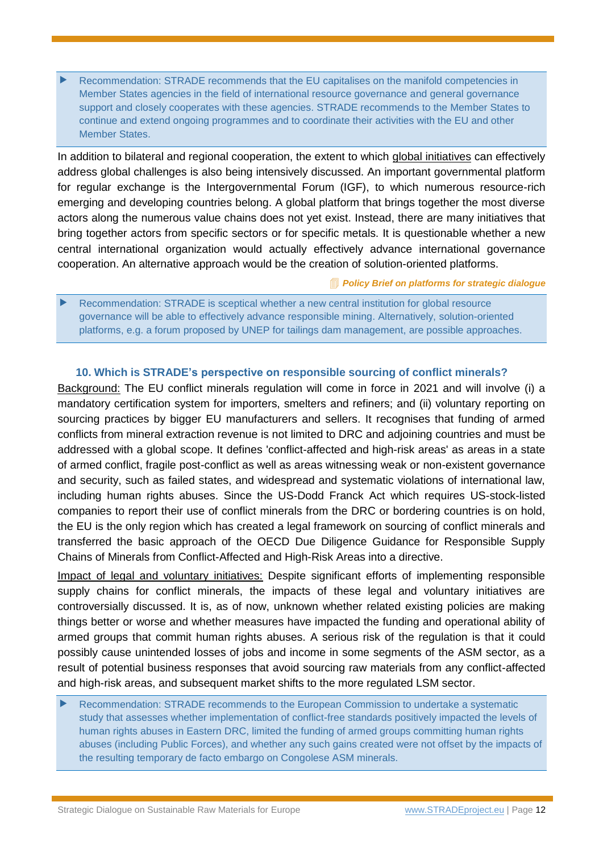Recommendation: STRADE recommends that the EU capitalises on the manifold competencies in Member States agencies in the field of international resource governance and general governance support and closely cooperates with these agencies. STRADE recommends to the Member States to continue and extend ongoing programmes and to coordinate their activities with the EU and other Member States.

In addition to bilateral and regional cooperation, the extent to which global initiatives can effectively address global challenges is also being intensively discussed. An important governmental platform for regular exchange is the Intergovernmental Forum (IGF), to which numerous resource-rich emerging and developing countries belong. A global platform that brings together the most diverse actors along the numerous value chains does not yet exist. Instead, there are many initiatives that bring together actors from specific sectors or for specific metals. It is questionable whether a new central international organization would actually effectively advance international governance cooperation. An alternative approach would be the creation of solution-oriented platforms.

*[Policy Brief on platforms for strategic dialogue](http://www.stradeproject.eu/fileadmin/user_upload/pdf/STRADE_PB07_D4-21_IRGA_Jul2017_FINAL.pdf)*

 Recommendation: STRADE is sceptical whether a new central institution for global resource governance will be able to effectively advance responsible mining. Alternatively, solution-oriented platforms, e.g. a forum proposed by UNEP for tailings dam management, are possible approaches.

## <span id="page-11-0"></span>**10. Which is STRADE's perspective on responsible sourcing of conflict minerals?**

Background: The EU conflict minerals regulation will come in force in 2021 and will involve (i) a mandatory certification system for importers, smelters and refiners; and (ii) voluntary reporting on sourcing practices by bigger EU manufacturers and sellers. It recognises that funding of armed conflicts from mineral extraction revenue is not limited to DRC and adjoining countries and must be addressed with a global scope. It defines 'conflict-affected and high-risk areas' as areas in a state of armed conflict, fragile post-conflict as well as areas witnessing weak or non-existent governance and security, such as failed states, and widespread and systematic violations of international law, including human rights abuses. Since the US-Dodd Franck Act which requires US-stock-listed companies to report their use of conflict minerals from the DRC or bordering countries is on hold, the EU is the only region which has created a legal framework on sourcing of conflict minerals and transferred the basic approach of the OECD Due Diligence Guidance for Responsible Supply Chains of Minerals from Conflict-Affected and High-Risk Areas into a directive.

Impact of legal and voluntary initiatives: Despite significant efforts of implementing responsible supply chains for conflict minerals, the impacts of these legal and voluntary initiatives are controversially discussed. It is, as of now, unknown whether related existing policies are making things better or worse and whether measures have impacted the funding and operational ability of armed groups that commit human rights abuses. A serious risk of the regulation is that it could possibly cause unintended losses of jobs and income in some segments of the ASM sector, as a result of potential business responses that avoid sourcing raw materials from any conflict-affected and high-risk areas, and subsequent market shifts to the more regulated LSM sector.

 Recommendation: STRADE recommends to the European Commission to undertake a systematic study that assesses whether implementation of conflict-free standards positively impacted the levels of human rights abuses in Eastern DRC, limited the funding of armed groups committing human rights abuses (including Public Forces), and whether any such gains created were not offset by the impacts of the resulting temporary de facto embargo on Congolese ASM minerals.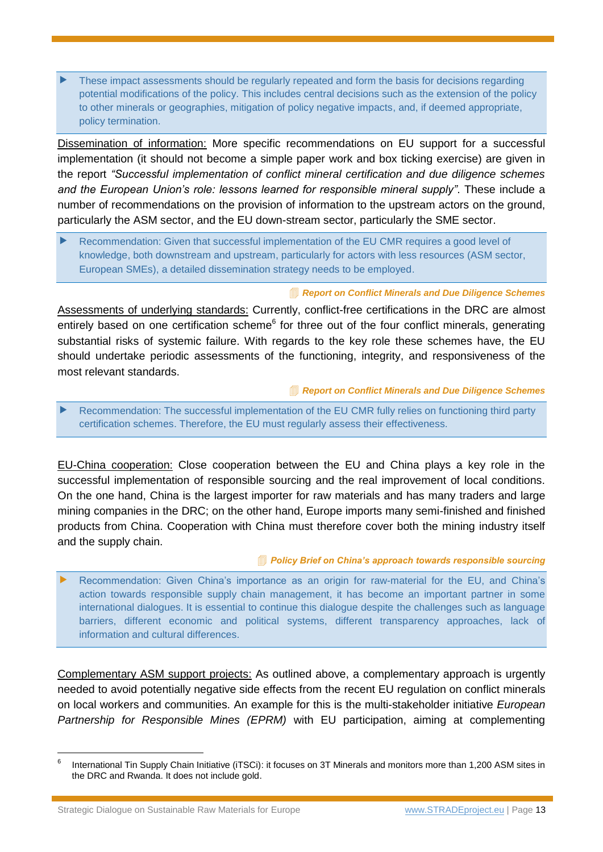These impact assessments should be regularly repeated and form the basis for decisions regarding potential modifications of the policy. This includes central decisions such as the extension of the policy to other minerals or geographies, mitigation of policy negative impacts, and, if deemed appropriate, policy termination.

Dissemination of information: More specific recommendations on EU support for a successful implementation (it should not become a simple paper work and box ticking exercise) are given in the report *"Successful implementation of conflict mineral certification and due diligence schemes and the European Union's role: lessons learned for responsible mineral supply"*. These include a number of recommendations on the provision of information to the upstream actors on the ground, particularly the ASM sector, and the EU down-stream sector, particularly the SME sector.

 Recommendation: Given that successful implementation of the EU CMR requires a good level of knowledge, both downstream and upstream, particularly for actors with less resources (ASM sector, European SMEs), a detailed dissemination strategy needs to be employed.

#### *[Report on Conflict Minerals and Due Diligence Schemes](http://www.stradeproject.eu/fileadmin/user_upload/pdf/STRADE_Report_D4.19_Due_Diligence_Certification.pdf)*

Assessments of underlying standards: Currently, conflict-free certifications in the DRC are almost entirely based on one certification scheme<sup>6</sup> for three out of the four conflict minerals, generating substantial risks of systemic failure. With regards to the key role these schemes have, the EU should undertake periodic assessments of the functioning, integrity, and responsiveness of the most relevant standards.

#### *[Report on Conflict Minerals and Due Diligence Schemes](http://www.stradeproject.eu/fileadmin/user_upload/pdf/STRADE_Report_D4.19_Due_Diligence_Certification.pdf)*

 Recommendation: The successful implementation of the EU CMR fully relies on functioning third party certification schemes. Therefore, the EU must regularly assess their effectiveness.

EU-China cooperation: Close cooperation between the EU and China plays a key role in the successful implementation of responsible sourcing and the real improvement of local conditions. On the one hand, China is the largest importer for raw materials and has many traders and large mining companies in the DRC; on the other hand, Europe imports many semi-finished and finished products from China. Cooperation with China must therefore cover both the mining industry itself and the supply chain.

#### *[Policy Brief on China's approach towards responsible sourcing](http://www.stradeproject.eu/fileadmin/user_upload/pdf/STRADE_PB_03_2018_China_responsible_sourcing.pdf)*

 Recommendation: Given China's importance as an origin for raw-material for the EU, and China's action towards responsible supply chain management, it has become an important partner in some international dialogues. It is essential to continue this dialogue despite the challenges such as language barriers, different economic and political systems, different transparency approaches, lack of information and cultural differences.

Complementary ASM support projects: As outlined above, a complementary approach is urgently needed to avoid potentially negative side effects from the recent EU regulation on conflict minerals on local workers and communities. An example for this is the multi-stakeholder initiative *European Partnership for Responsible Mines (EPRM)* with EU participation, aiming at complementing

Strategic Dialogue on Sustainable Raw Materials for Europe [www.STRADEproject.eu](http://www.stradeproject.eu/) | Page 13

<sup>6</sup> International Tin Supply Chain Initiative (iTSCi): it focuses on 3T Minerals and monitors more than 1,200 ASM sites in the DRC and Rwanda. It does not include gold.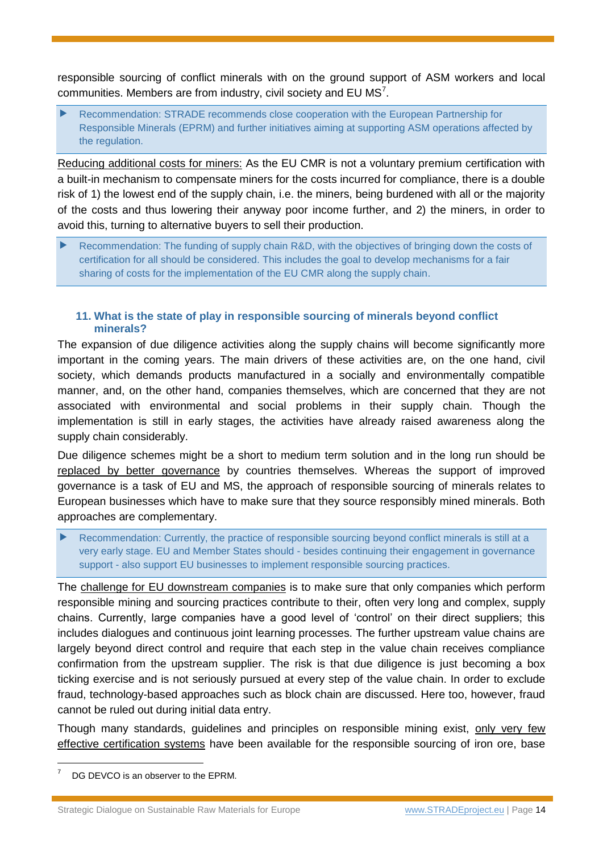responsible sourcing of conflict minerals with on the ground support of ASM workers and local communities. Members are from industry, civil society and EU  $MS<sup>7</sup>$ .

 Recommendation: STRADE recommends close cooperation with the European Partnership for Responsible Minerals (EPRM) and further initiatives aiming at supporting ASM operations affected by the regulation.

Reducing additional costs for miners: As the EU CMR is not a voluntary premium certification with a built-in mechanism to compensate miners for the costs incurred for compliance, there is a double risk of 1) the lowest end of the supply chain, i.e. the miners, being burdened with all or the majority of the costs and thus lowering their anyway poor income further, and 2) the miners, in order to avoid this, turning to alternative buyers to sell their production.

 Recommendation: The funding of supply chain R&D, with the objectives of bringing down the costs of certification for all should be considered. This includes the goal to develop mechanisms for a fair sharing of costs for the implementation of the EU CMR along the supply chain.

#### <span id="page-13-0"></span>**11. What is the state of play in responsible sourcing of minerals beyond conflict minerals?**

The expansion of due diligence activities along the supply chains will become significantly more important in the coming years. The main drivers of these activities are, on the one hand, civil society, which demands products manufactured in a socially and environmentally compatible manner, and, on the other hand, companies themselves, which are concerned that they are not associated with environmental and social problems in their supply chain. Though the implementation is still in early stages, the activities have already raised awareness along the supply chain considerably.

Due diligence schemes might be a short to medium term solution and in the long run should be replaced by better governance by countries themselves. Whereas the support of improved governance is a task of EU and MS, the approach of responsible sourcing of minerals relates to European businesses which have to make sure that they source responsibly mined minerals. Both approaches are complementary.

 Recommendation: Currently, the practice of responsible sourcing beyond conflict minerals is still at a very early stage. EU and Member States should - besides continuing their engagement in governance support - also support EU businesses to implement responsible sourcing practices.

The challenge for EU downstream companies is to make sure that only companies which perform responsible mining and sourcing practices contribute to their, often very long and complex, supply chains. Currently, large companies have a good level of 'control' on their direct suppliers; this includes dialogues and continuous joint learning processes. The further upstream value chains are largely beyond direct control and require that each step in the value chain receives compliance confirmation from the upstream supplier. The risk is that due diligence is just becoming a box ticking exercise and is not seriously pursued at every step of the value chain. In order to exclude fraud, technology-based approaches such as block chain are discussed. Here too, however, fraud cannot be ruled out during initial data entry.

Though many standards, guidelines and principles on responsible mining exist, only very few effective certification systems have been available for the responsible sourcing of iron ore, base

DG DEVCO is an observer to the EPRM.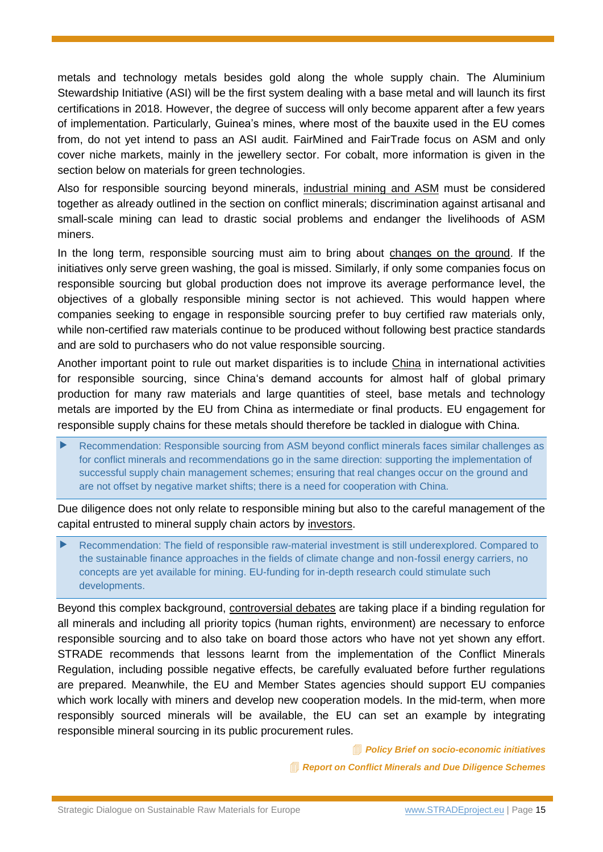metals and technology metals besides gold along the whole supply chain. The Aluminium Stewardship Initiative (ASI) will be the first system dealing with a base metal and will launch its first certifications in 2018. However, the degree of success will only become apparent after a few years of implementation. Particularly, Guinea's mines, where most of the bauxite used in the EU comes from, do not yet intend to pass an ASI audit. FairMined and FairTrade focus on ASM and only cover niche markets, mainly in the jewellery sector. For cobalt, more information is given in the section below on materials for green technologies.

Also for responsible sourcing beyond minerals, industrial mining and ASM must be considered together as already outlined in the section on conflict minerals; discrimination against artisanal and small-scale mining can lead to drastic social problems and endanger the livelihoods of ASM miners.

In the long term, responsible sourcing must aim to bring about changes on the ground. If the initiatives only serve green washing, the goal is missed. Similarly, if only some companies focus on responsible sourcing but global production does not improve its average performance level, the objectives of a globally responsible mining sector is not achieved. This would happen where companies seeking to engage in responsible sourcing prefer to buy certified raw materials only, while non-certified raw materials continue to be produced without following best practice standards and are sold to purchasers who do not value responsible sourcing.

Another important point to rule out market disparities is to include China in international activities for responsible sourcing, since China's demand accounts for almost half of global primary production for many raw materials and large quantities of steel, base metals and technology metals are imported by the EU from China as intermediate or final products. EU engagement for responsible supply chains for these metals should therefore be tackled in dialogue with China.

 Recommendation: Responsible sourcing from ASM beyond conflict minerals faces similar challenges as for conflict minerals and recommendations go in the same direction: supporting the implementation of successful supply chain management schemes; ensuring that real changes occur on the ground and are not offset by negative market shifts; there is a need for cooperation with China.

Due diligence does not only relate to responsible mining but also to the careful management of the capital entrusted to mineral supply chain actors by investors.

 Recommendation: The field of responsible raw-material investment is still underexplored. Compared to the sustainable finance approaches in the fields of climate change and non-fossil energy carriers, no concepts are yet available for mining. EU-funding for in-depth research could stimulate such developments.

Beyond this complex background, controversial debates are taking place if a binding regulation for all minerals and including all priority topics (human rights, environment) are necessary to enforce responsible sourcing and to also take on board those actors who have not yet shown any effort. STRADE recommends that lessons learnt from the implementation of the Conflict Minerals Regulation, including possible negative effects, be carefully evaluated before further regulations are prepared. Meanwhile, the EU and Member States agencies should support EU companies which work locally with miners and develop new cooperation models. In the mid-term, when more responsibly sourced minerals will be available, the EU can set an example by integrating responsible mineral sourcing in its public procurement rules.

*[Policy Brief on socio-economic initiatives](http://www.stradeproject.eu/fileadmin/user_upload/pdf/PolicyBrief_09-2016_Dec2016_FINAL.pdf)*

*[Report on Conflict Minerals and Due Diligence Schemes](http://www.stradeproject.eu/fileadmin/user_upload/pdf/STRADE_Report_D4.19_Due_Diligence_Certification.pdf)*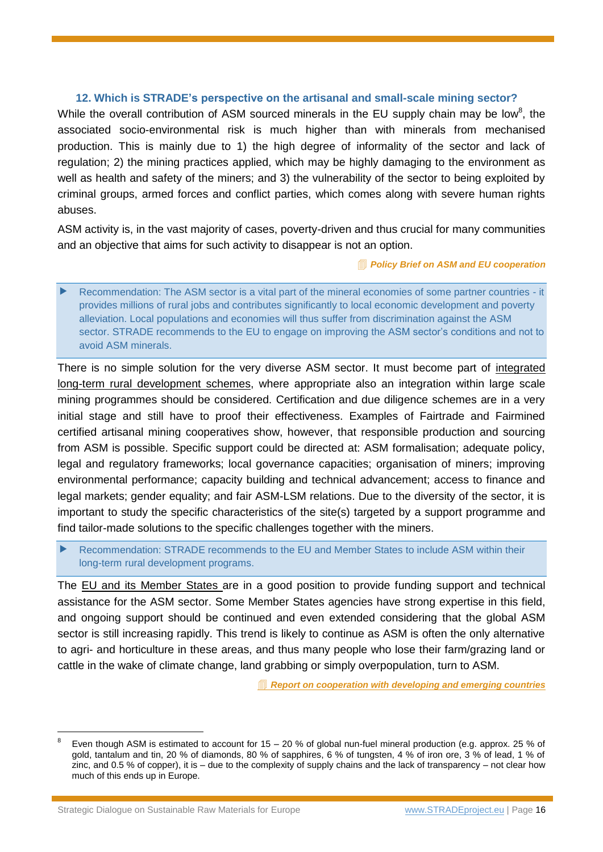#### <span id="page-15-0"></span>**12. Which is STRADE's perspective on the artisanal and small-scale mining sector?**

While the overall contribution of ASM sourced minerals in the EU supply chain may be low<sup>8</sup>, the associated socio-environmental risk is much higher than with minerals from mechanised production. This is mainly due to 1) the high degree of informality of the sector and lack of regulation; 2) the mining practices applied, which may be highly damaging to the environment as well as health and safety of the miners; and 3) the vulnerability of the sector to being exploited by criminal groups, armed forces and conflict parties, which comes along with severe human rights abuses.

ASM activity is, in the vast majority of cases, poverty-driven and thus crucial for many communities and an objective that aims for such activity to disappear is not an option.

*[Policy Brief on ASM and EU cooperation](http://www.stradeproject.eu/fileadmin/user_upload/pdf/STRADE_PB09-2017_ASM_and_EU-cooperation.pdf)*

 Recommendation: The ASM sector is a vital part of the mineral economies of some partner countries - it provides millions of rural jobs and contributes significantly to local economic development and poverty alleviation. Local populations and economies will thus suffer from discrimination against the ASM sector. STRADE recommends to the EU to engage on improving the ASM sector's conditions and not to avoid ASM minerals.

There is no simple solution for the very diverse ASM sector. It must become part of integrated long-term rural development schemes, where appropriate also an integration within large scale mining programmes should be considered. Certification and due diligence schemes are in a very initial stage and still have to proof their effectiveness. Examples of Fairtrade and Fairmined certified artisanal mining cooperatives show, however, that responsible production and sourcing from ASM is possible. Specific support could be directed at: ASM formalisation; adequate policy, legal and regulatory frameworks; local governance capacities; organisation of miners; improving environmental performance; capacity building and technical advancement; access to finance and legal markets; gender equality; and fair ASM-LSM relations. Due to the diversity of the sector, it is important to study the specific characteristics of the site(s) targeted by a support programme and find tailor-made solutions to the specific challenges together with the miners.

 Recommendation: STRADE recommends to the EU and Member States to include ASM within their long-term rural development programs.

The EU and its Member States are in a good position to provide funding support and technical assistance for the ASM sector. Some Member States agencies have strong expertise in this field, and ongoing support should be continued and even extended considering that the global ASM sector is still increasing rapidly. This trend is likely to continue as ASM is often the only alternative to agri- and horticulture in these areas, and thus many people who lose their farm/grazing land or cattle in the wake of climate change, land grabbing or simply overpopulation, turn to ASM.

*[Report on cooperation with developing and emerging countries](http://www.stradeproject.eu/index.php?id=43)*

<sup>8</sup> Even though ASM is estimated to account for 15 – 20 % of global nun-fuel mineral production (e.g. approx. 25 % of gold, tantalum and tin, 20 % of diamonds, 80 % of sapphires, 6 % of tungsten, 4 % of iron ore, 3 % of lead, 1 % of zinc, and 0.5 % of copper), it is – due to the complexity of supply chains and the lack of transparency – not clear how much of this ends up in Europe.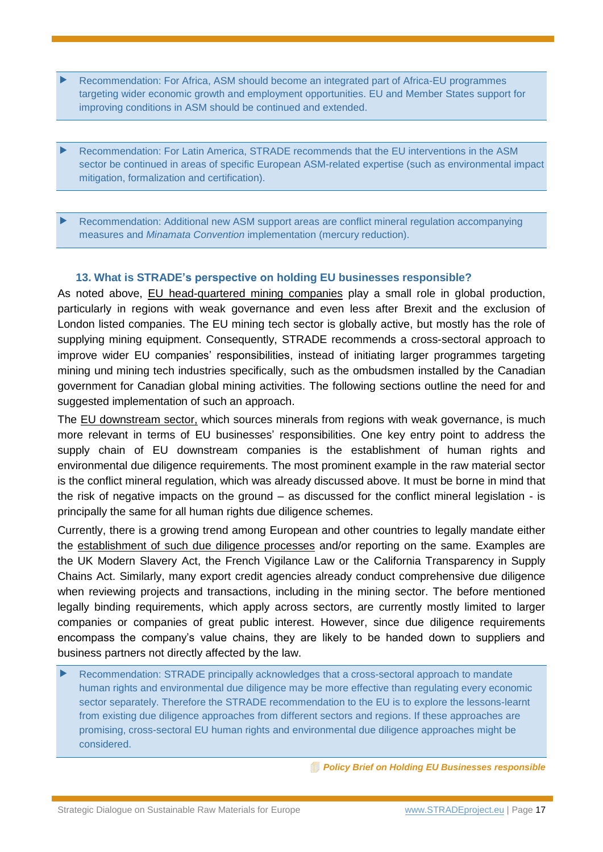- Recommendation: For Africa, ASM should become an integrated part of Africa-EU programmes targeting wider economic growth and employment opportunities. EU and Member States support for improving conditions in ASM should be continued and extended.
- Recommendation: For Latin America, STRADE recommends that the EU interventions in the ASM sector be continued in areas of specific European ASM-related expertise (such as environmental impact mitigation, formalization and certification).

 Recommendation: Additional new ASM support areas are conflict mineral regulation accompanying measures and *Minamata Convention* implementation (mercury reduction).

## **13. What is STRADE's perspective on holding EU businesses responsible?**

<span id="page-16-0"></span>As noted above, EU head-quartered mining companies play a small role in global production, particularly in regions with weak governance and even less after Brexit and the exclusion of London listed companies. The EU mining tech sector is globally active, but mostly has the role of supplying mining equipment. Consequently, STRADE recommends a cross-sectoral approach to improve wider EU companies' responsibilities, instead of initiating larger programmes targeting mining und mining tech industries specifically, such as the ombudsmen installed by the Canadian government for Canadian global mining activities. The following sections outline the need for and suggested implementation of such an approach.

The EU downstream sector, which sources minerals from regions with weak governance, is much more relevant in terms of EU businesses' responsibilities. One key entry point to address the supply chain of EU downstream companies is the establishment of human rights and environmental due diligence requirements. The most prominent example in the raw material sector is the conflict mineral regulation, which was already discussed above. It must be borne in mind that the risk of negative impacts on the ground – as discussed for the conflict mineral legislation - is principally the same for all human rights due diligence schemes.

Currently, there is a growing trend among European and other countries to legally mandate either the establishment of such due diligence processes and/or reporting on the same. Examples are the UK Modern Slavery Act, the French Vigilance Law or the California Transparency in Supply Chains Act. Similarly, many export credit agencies already conduct comprehensive due diligence when reviewing projects and transactions, including in the mining sector. The before mentioned legally binding requirements, which apply across sectors, are currently mostly limited to larger companies or companies of great public interest. However, since due diligence requirements encompass the company's value chains, they are likely to be handed down to suppliers and business partners not directly affected by the law.

 Recommendation: STRADE principally acknowledges that a cross-sectoral approach to mandate human rights and environmental due diligence may be more effective than regulating every economic sector separately. Therefore the STRADE recommendation to the EU is to explore the lessons-learnt from existing due diligence approaches from different sectors and regions. If these approaches are promising, cross-sectoral EU human rights and environmental due diligence approaches might be considered.

*[Policy Brief on Holding EU Businesses responsible](http://www.stradeproject.eu/fileadmin/user_upload/pdf/STRADE_PB_01-2018_Holding_European_businesses_responsible.pdf)*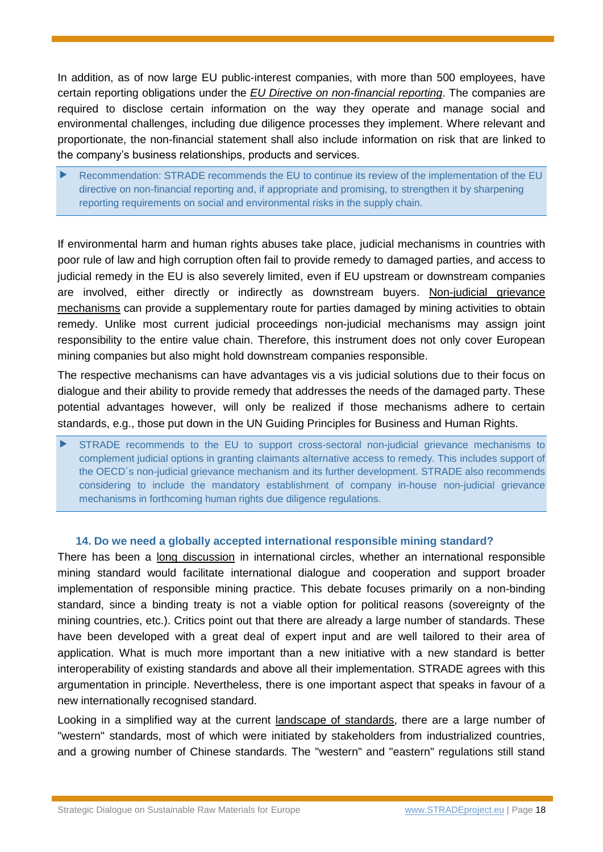In addition, as of now large EU public-interest companies, with more than 500 employees, have certain reporting obligations under the *EU Directive on non-financial reporting*. The companies are required to disclose certain information on the way they operate and manage social and environmental challenges, including due diligence processes they implement. Where relevant and proportionate, the non-financial statement shall also include information on risk that are linked to the company's business relationships, products and services.

 Recommendation: STRADE recommends the EU to continue its review of the implementation of the EU directive on non-financial reporting and, if appropriate and promising, to strengthen it by sharpening reporting requirements on social and environmental risks in the supply chain.

<span id="page-17-0"></span>If environmental harm and human rights abuses take place, judicial mechanisms in countries with poor rule of law and high corruption often fail to provide remedy to damaged parties, and access to judicial remedy in the EU is also severely limited, even if EU upstream or downstream companies are involved, either directly or indirectly as downstream buyers. Non-judicial grievance mechanisms can provide a supplementary route for parties damaged by mining activities to obtain remedy. Unlike most current judicial proceedings non-judicial mechanisms may assign joint responsibility to the entire value chain. Therefore, this instrument does not only cover European mining companies but also might hold downstream companies responsible.

The respective mechanisms can have advantages vis a vis judicial solutions due to their focus on dialogue and their ability to provide remedy that addresses the needs of the damaged party. These potential advantages however, will only be realized if those mechanisms adhere to certain standards, e.g., those put down in the UN Guiding Principles for Business and Human Rights.

 STRADE recommends to the EU to support cross-sectoral non-judicial grievance mechanisms to complement judicial options in granting claimants alternative access to remedy. This includes support of the OECD´s non-judicial grievance mechanism and its further development. STRADE also recommends considering to include the mandatory establishment of company in-house non-judicial grievance mechanisms in forthcoming human rights due diligence regulations.

#### **14. Do we need a globally accepted international responsible mining standard?**

There has been a long discussion in international circles, whether an international responsible mining standard would facilitate international dialogue and cooperation and support broader implementation of responsible mining practice. This debate focuses primarily on a non-binding standard, since a binding treaty is not a viable option for political reasons (sovereignty of the mining countries, etc.). Critics point out that there are already a large number of standards. These have been developed with a great deal of expert input and are well tailored to their area of application. What is much more important than a new initiative with a new standard is better interoperability of existing standards and above all their implementation. STRADE agrees with this argumentation in principle. Nevertheless, there is one important aspect that speaks in favour of a new internationally recognised standard.

Looking in a simplified way at the current landscape of standards, there are a large number of "western" standards, most of which were initiated by stakeholders from industrialized countries, and a growing number of Chinese standards. The "western" and "eastern" regulations still stand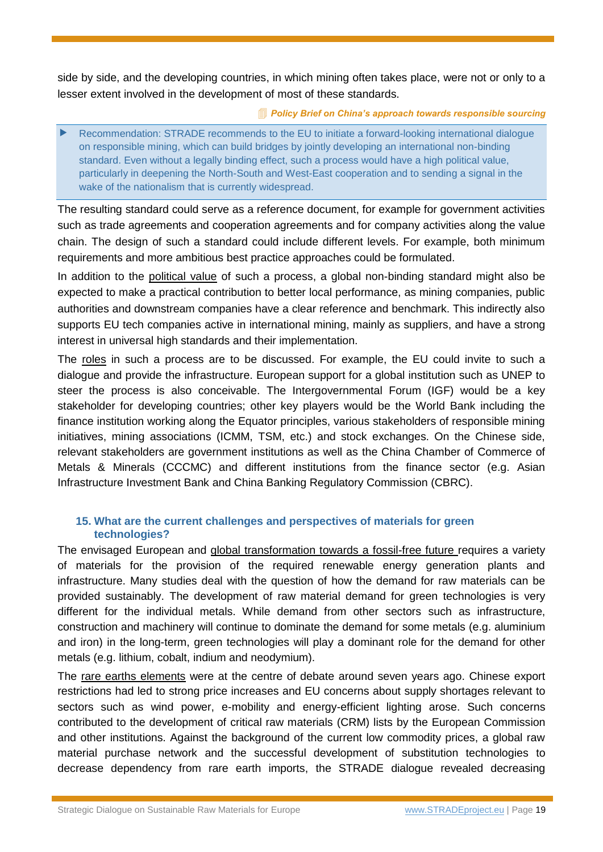side by side, and the developing countries, in which mining often takes place, were not or only to a lesser extent involved in the development of most of these standards.

*[Policy Brief on China's approach towards responsible sourcing](http://www.stradeproject.eu/fileadmin/user_upload/pdf/STRADE_PB_03_2018_China_responsible_sourcing.pdf)*

 Recommendation: STRADE recommends to the EU to initiate a forward-looking international dialogue on responsible mining, which can build bridges by jointly developing an international non-binding standard. Even without a legally binding effect, such a process would have a high political value, particularly in deepening the North-South and West-East cooperation and to sending a signal in the wake of the nationalism that is currently widespread.

The resulting standard could serve as a reference document, for example for government activities such as trade agreements and cooperation agreements and for company activities along the value chain. The design of such a standard could include different levels. For example, both minimum requirements and more ambitious best practice approaches could be formulated.

In addition to the political value of such a process, a global non-binding standard might also be expected to make a practical contribution to better local performance, as mining companies, public authorities and downstream companies have a clear reference and benchmark. This indirectly also supports EU tech companies active in international mining, mainly as suppliers, and have a strong interest in universal high standards and their implementation.

The roles in such a process are to be discussed. For example, the EU could invite to such a dialogue and provide the infrastructure. European support for a global institution such as UNEP to steer the process is also conceivable. The Intergovernmental Forum (IGF) would be a key stakeholder for developing countries; other key players would be the World Bank including the finance institution working along the Equator principles, various stakeholders of responsible mining initiatives, mining associations (ICMM, TSM, etc.) and stock exchanges. On the Chinese side, relevant stakeholders are government institutions as well as the China Chamber of Commerce of Metals & Minerals (CCCMC) and different institutions from the finance sector (e.g. Asian Infrastructure Investment Bank and China Banking Regulatory Commission (CBRC).

## <span id="page-18-0"></span>**15. What are the current challenges and perspectives of materials for green technologies?**

The envisaged European and global transformation towards a fossil-free future requires a variety of materials for the provision of the required renewable energy generation plants and infrastructure. Many studies deal with the question of how the demand for raw materials can be provided sustainably. The development of raw material demand for green technologies is very different for the individual metals. While demand from other sectors such as infrastructure, construction and machinery will continue to dominate the demand for some metals (e.g. aluminium and iron) in the long-term, green technologies will play a dominant role for the demand for other metals (e.g. lithium, cobalt, indium and neodymium).

The rare earths elements were at the centre of debate around seven years ago. Chinese export restrictions had led to strong price increases and EU concerns about supply shortages relevant to sectors such as wind power, e-mobility and energy-efficient lighting arose. Such concerns contributed to the development of critical raw materials (CRM) lists by the European Commission and other institutions. Against the background of the current low commodity prices, a global raw material purchase network and the successful development of substitution technologies to decrease dependency from rare earth imports, the STRADE dialogue revealed decreasing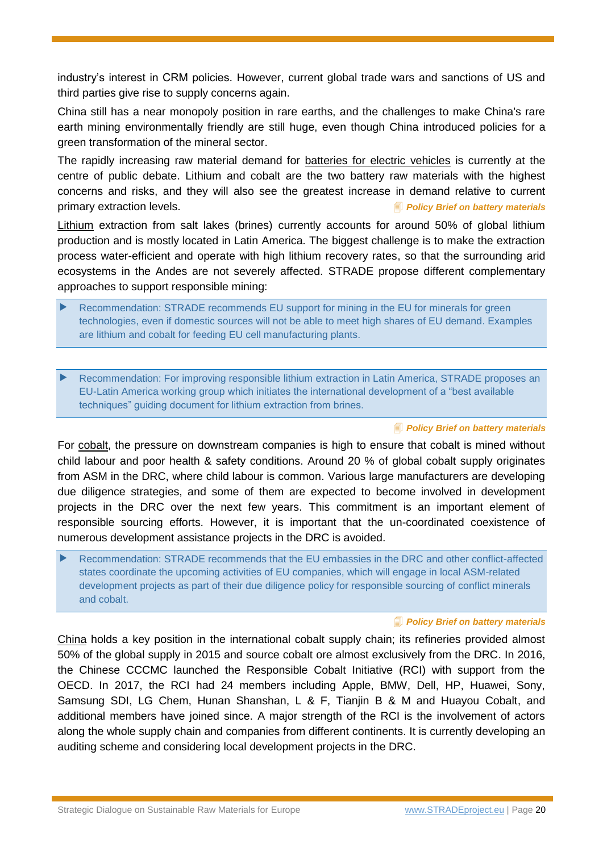industry's interest in CRM policies. However, current global trade wars and sanctions of US and third parties give rise to supply concerns again.

China still has a near monopoly position in rare earths, and the challenges to make China's rare earth mining environmentally friendly are still huge, even though China introduced policies for a green transformation of the mineral sector.

The rapidly increasing raw material demand for batteries for electric vehicles is currently at the centre of public debate. Lithium and cobalt are the two battery raw materials with the highest concerns and risks, and they will also see the greatest increase in demand relative to current primary extraction levels. *[Policy Brief on battery materials](http://www.stradeproject.eu/fileadmin/user_upload/pdf/STRADE_PB_Li_Co_EMobility.pdf)*

Lithium extraction from salt lakes (brines) currently accounts for around 50% of global lithium production and is mostly located in Latin America. The biggest challenge is to make the extraction process water-efficient and operate with high lithium recovery rates, so that the surrounding arid ecosystems in the Andes are not severely affected. STRADE propose different complementary approaches to support responsible mining:

- Recommendation: STRADE recommends EU support for mining in the EU for minerals for green technologies, even if domestic sources will not be able to meet high shares of EU demand. Examples are lithium and cobalt for feeding EU cell manufacturing plants.
- Recommendation: For improving responsible lithium extraction in Latin America, STRADE proposes an EU-Latin America working group which initiates the international development of a "best available techniques" guiding document for lithium extraction from brines.

#### *[Policy Brief on battery materials](http://www.stradeproject.eu/fileadmin/user_upload/pdf/STRADE_PB_Li_Co_EMobility.pdf)*

For cobalt, the pressure on downstream companies is high to ensure that cobalt is mined without child labour and poor health & safety conditions. Around 20 % of global cobalt supply originates from ASM in the DRC, where child labour is common. Various large manufacturers are developing due diligence strategies, and some of them are expected to become involved in development projects in the DRC over the next few years. This commitment is an important element of responsible sourcing efforts. However, it is important that the un-coordinated coexistence of numerous development assistance projects in the DRC is avoided.

 Recommendation: STRADE recommends that the EU embassies in the DRC and other conflict-affected states coordinate the upcoming activities of EU companies, which will engage in local ASM-related development projects as part of their due diligence policy for responsible sourcing of conflict minerals and cobalt.

#### *[Policy Brief on battery materials](http://www.stradeproject.eu/fileadmin/user_upload/pdf/STRADE_PB_Li_Co_EMobility.pdf)*

China holds a key position in the international cobalt supply chain; its refineries provided almost 50% of the global supply in 2015 and source cobalt ore almost exclusively from the DRC. In 2016, the Chinese CCCMC launched the Responsible Cobalt Initiative (RCI) with support from the OECD. In 2017, the RCI had 24 members including Apple, BMW, Dell, HP, Huawei, Sony, Samsung SDI, LG Chem, Hunan Shanshan, L & F, Tianjin B & M and Huayou Cobalt, and additional members have joined since. A major strength of the RCI is the involvement of actors along the whole supply chain and companies from different continents. It is currently developing an auditing scheme and considering local development projects in the DRC.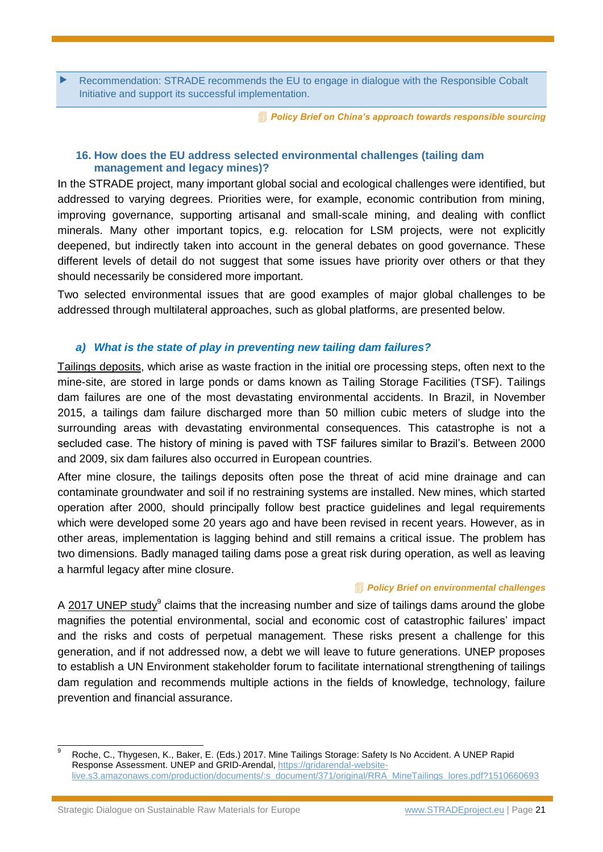Recommendation: STRADE recommends the EU to engage in dialogue with the Responsible Cobalt Initiative and support its successful implementation.

*[Policy Brief on China's approach towards responsible sourcing](http://www.stradeproject.eu/fileadmin/user_upload/pdf/STRADE_PB_03_2018_China_responsible_sourcing.pdf)*

#### <span id="page-20-0"></span>**16. How does the EU address selected environmental challenges (tailing dam management and legacy mines)?**

In the STRADE project, many important global social and ecological challenges were identified, but addressed to varying degrees. Priorities were, for example, economic contribution from mining, improving governance, supporting artisanal and small-scale mining, and dealing with conflict minerals. Many other important topics, e.g. relocation for LSM projects, were not explicitly deepened, but indirectly taken into account in the general debates on good governance. These different levels of detail do not suggest that some issues have priority over others or that they should necessarily be considered more important.

Two selected environmental issues that are good examples of major global challenges to be addressed through multilateral approaches, such as global platforms, are presented below.

#### *a) What is the state of play in preventing new tailing dam failures?*

Tailings deposits, which arise as waste fraction in the initial ore processing steps, often next to the mine-site, are stored in large ponds or dams known as Tailing Storage Facilities (TSF). Tailings dam failures are one of the most devastating environmental accidents. In Brazil, in November 2015, a tailings dam failure discharged more than 50 million cubic meters of sludge into the surrounding areas with devastating environmental consequences. This catastrophe is not a secluded case. The history of mining is paved with TSF failures similar to Brazil's. Between 2000 and 2009, six dam failures also occurred in European countries.

After mine closure, the tailings deposits often pose the threat of acid mine drainage and can contaminate groundwater and soil if no restraining systems are installed. New mines, which started operation after 2000, should principally follow best practice guidelines and legal requirements which were developed some 20 years ago and have been revised in recent years. However, as in other areas, implementation is lagging behind and still remains a critical issue. The problem has two dimensions. Badly managed tailing dams pose a great risk during operation, as well as leaving a harmful legacy after mine closure.

#### *[Policy Brief on environmental challenges](http://www.stradeproject.eu/fileadmin/user_upload/pdf/PolicyBrief_04-2016_Sep2016_FINAL.pdf)*

A  $2017$  UNEP study<sup>9</sup> claims that the increasing number and size of tailings dams around the globe magnifies the potential environmental, social and economic cost of catastrophic failures' impact and the risks and costs of perpetual management. These risks present a challenge for this generation, and if not addressed now, a debt we will leave to future generations. UNEP proposes to establish a UN Environment stakeholder forum to facilitate international strengthening of tailings dam regulation and recommends multiple actions in the fields of knowledge, technology, failure prevention and financial assurance.

Strategic Dialogue on Sustainable Raw Materials for Europe [www.STRADEproject.eu](http://www.stradeproject.eu/) | Page 21

 $\mathbf{q}$ <sup>9</sup> Roche, C., Thygesen, K., Baker, E. (Eds.) 2017. Mine Tailings Storage: Safety Is No Accident. A UNEP Rapid Response Assessment. UNEP and GRID-Arendal, [https://gridarendal-website](https://gridarendal-website-live.s3.amazonaws.com/production/documents/:s_document/371/original/RRA_MineTailings_lores.pdf?1510660693)[live.s3.amazonaws.com/production/documents/:s\\_document/371/original/RRA\\_MineTailings\\_lores.pdf?1510660693](https://gridarendal-website-live.s3.amazonaws.com/production/documents/:s_document/371/original/RRA_MineTailings_lores.pdf?1510660693)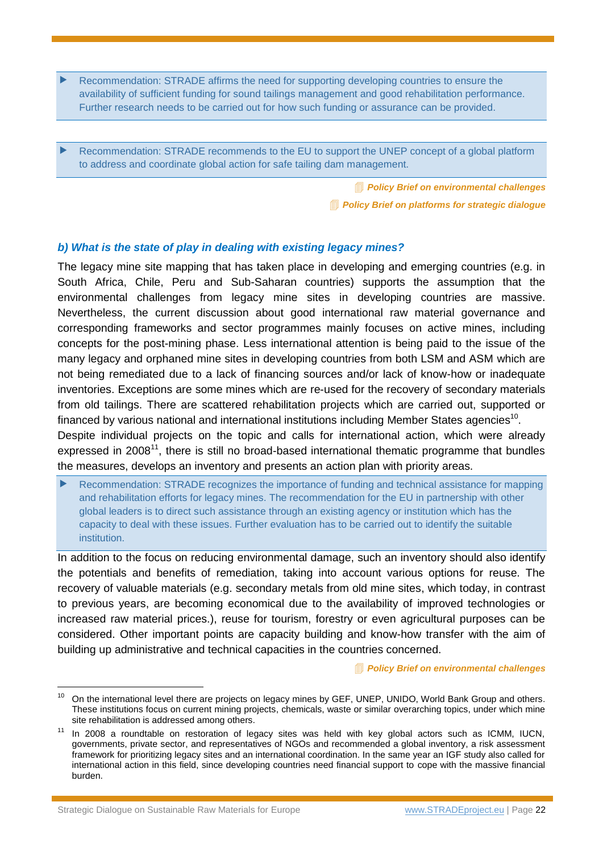Recommendation: STRADE affirms the need for supporting developing countries to ensure the availability of sufficient funding for sound tailings management and good rehabilitation performance. Further research needs to be carried out for how such funding or assurance can be provided.

 Recommendation: STRADE recommends to the EU to support the UNEP concept of a global platform to address and coordinate global action for safe tailing dam management.

> *[Policy Brief on environmental challenges](http://www.stradeproject.eu/fileadmin/user_upload/pdf/PolicyBrief_04-2016_Sep2016_FINAL.pdf) [Policy Brief on platforms for strategic dialogue](http://www.stradeproject.eu/fileadmin/user_upload/pdf/STRADE_PB07_D4-21_IRGA_Jul2017_FINAL.pdf)*

#### *b) What is the state of play in dealing with existing legacy mines?*

The legacy mine site mapping that has taken place in developing and emerging countries (e.g. in South Africa, Chile, Peru and Sub-Saharan countries) supports the assumption that the environmental challenges from legacy mine sites in developing countries are massive. Nevertheless, the current discussion about good international raw material governance and corresponding frameworks and sector programmes mainly focuses on active mines, including concepts for the post-mining phase. Less international attention is being paid to the issue of the many legacy and orphaned mine sites in developing countries from both LSM and ASM which are not being remediated due to a lack of financing sources and/or lack of know-how or inadequate inventories. Exceptions are some mines which are re-used for the recovery of secondary materials from old tailings. There are scattered rehabilitation projects which are carried out, supported or financed by various national and international institutions including Member States agencies<sup>10</sup>.

Despite individual projects on the topic and calls for international action, which were already expressed in  $2008<sup>11</sup>$ , there is still no broad-based international thematic programme that bundles the measures, develops an inventory and presents an action plan with priority areas.

 Recommendation: STRADE recognizes the importance of funding and technical assistance for mapping and rehabilitation efforts for legacy mines. The recommendation for the EU in partnership with other global leaders is to direct such assistance through an existing agency or institution which has the capacity to deal with these issues. Further evaluation has to be carried out to identify the suitable institution.

In addition to the focus on reducing environmental damage, such an inventory should also identify the potentials and benefits of remediation, taking into account various options for reuse. The recovery of valuable materials (e.g. secondary metals from old mine sites, which today, in contrast to previous years, are becoming economical due to the availability of improved technologies or increased raw material prices.), reuse for tourism, forestry or even agricultural purposes can be considered. Other important points are capacity building and know-how transfer with the aim of building up administrative and technical capacities in the countries concerned.

*[Policy Brief on environmental challenges](http://www.stradeproject.eu/fileadmin/user_upload/pdf/PolicyBrief_04-2016_Sep2016_FINAL.pdf)*

Strategic Dialogue on Sustainable Raw Materials for Europe [www.STRADEproject.eu](http://www.stradeproject.eu/) | Page 22

<sup>&</sup>lt;sup>10</sup> On the international level there are projects on legacy mines by GEF, UNEP, UNIDO, World Bank Group and others. These institutions focus on current mining projects, chemicals, waste or similar overarching topics, under which mine site rehabilitation is addressed among others.

<sup>&</sup>lt;sup>11</sup> In 2008 a roundtable on restoration of legacy sites was held with key global actors such as ICMM, IUCN, governments, private sector, and representatives of NGOs and recommended a global inventory, a risk assessment framework for prioritizing legacy sites and an international coordination. In the same year an IGF study also called for international action in this field, since developing countries need financial support to cope with the massive financial burden.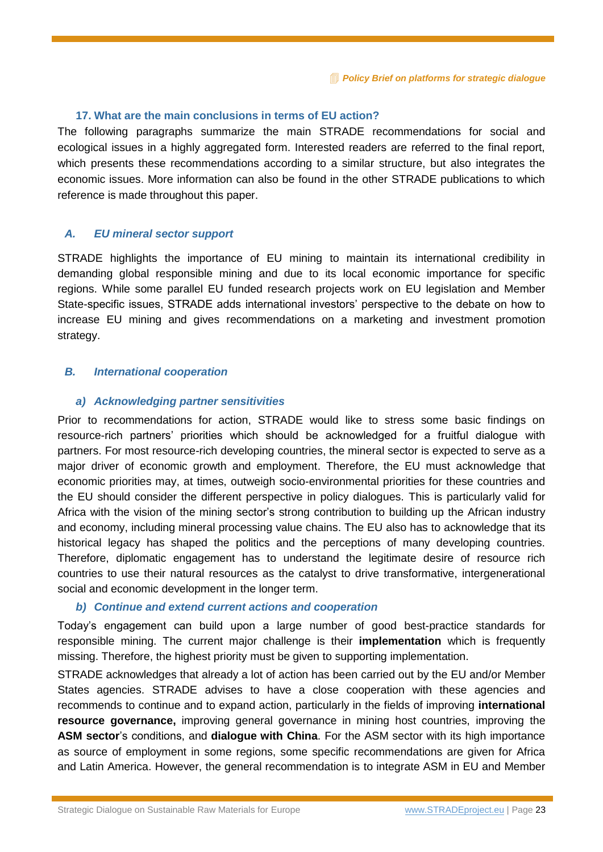#### <span id="page-22-0"></span>**17. What are the main conclusions in terms of EU action?**

The following paragraphs summarize the main STRADE recommendations for social and ecological issues in a highly aggregated form. Interested readers are referred to the final report, which presents these recommendations according to a similar structure, but also integrates the economic issues. More information can also be found in the other STRADE publications to which reference is made throughout this paper.

#### *A. EU mineral sector support*

STRADE highlights the importance of EU mining to maintain its international credibility in demanding global responsible mining and due to its local economic importance for specific regions. While some parallel EU funded research projects work on EU legislation and Member State-specific issues, STRADE adds international investors' perspective to the debate on how to increase EU mining and gives recommendations on a marketing and investment promotion strategy.

#### *B. International cooperation*

#### *a) Acknowledging partner sensitivities*

Prior to recommendations for action, STRADE would like to stress some basic findings on resource-rich partners' priorities which should be acknowledged for a fruitful dialogue with partners. For most resource-rich developing countries, the mineral sector is expected to serve as a major driver of economic growth and employment. Therefore, the EU must acknowledge that economic priorities may, at times, outweigh socio-environmental priorities for these countries and the EU should consider the different perspective in policy dialogues. This is particularly valid for Africa with the vision of the mining sector's strong contribution to building up the African industry and economy, including mineral processing value chains. The EU also has to acknowledge that its historical legacy has shaped the politics and the perceptions of many developing countries. Therefore, diplomatic engagement has to understand the legitimate desire of resource rich countries to use their natural resources as the catalyst to drive transformative, intergenerational social and economic development in the longer term.

#### *b) Continue and extend current actions and cooperation*

Today's engagement can build upon a large number of good best-practice standards for responsible mining. The current major challenge is their **implementation** which is frequently missing. Therefore, the highest priority must be given to supporting implementation.

STRADE acknowledges that already a lot of action has been carried out by the EU and/or Member States agencies. STRADE advises to have a close cooperation with these agencies and recommends to continue and to expand action, particularly in the fields of improving **international resource governance,** improving general governance in mining host countries, improving the **ASM sector**'s conditions, and **dialogue with China**. For the ASM sector with its high importance as source of employment in some regions, some specific recommendations are given for Africa and Latin America. However, the general recommendation is to integrate ASM in EU and Member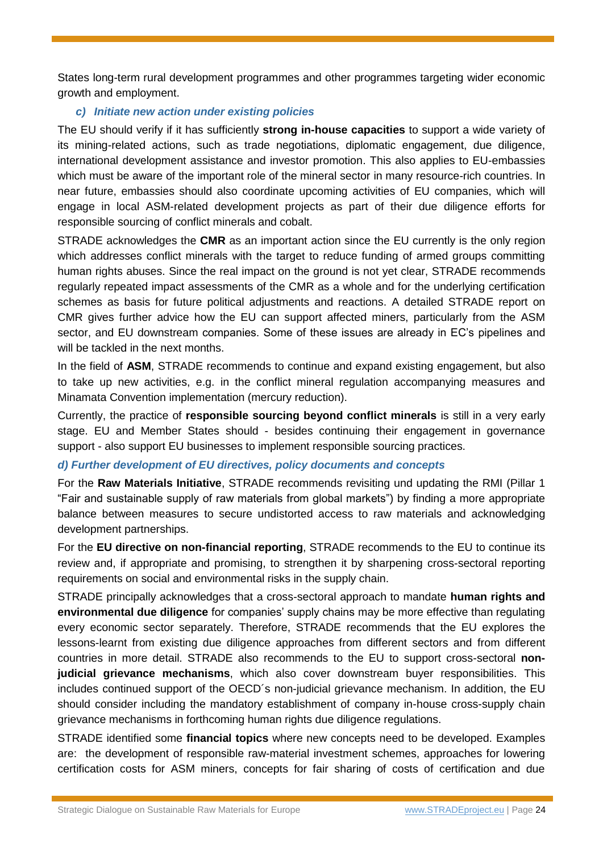States long-term rural development programmes and other programmes targeting wider economic growth and employment.

#### *c) Initiate new action under existing policies*

The EU should verify if it has sufficiently **strong in-house capacities** to support a wide variety of its mining-related actions, such as trade negotiations, diplomatic engagement, due diligence, international development assistance and investor promotion. This also applies to EU-embassies which must be aware of the important role of the mineral sector in many resource-rich countries. In near future, embassies should also coordinate upcoming activities of EU companies, which will engage in local ASM-related development projects as part of their due diligence efforts for responsible sourcing of conflict minerals and cobalt.

STRADE acknowledges the **CMR** as an important action since the EU currently is the only region which addresses conflict minerals with the target to reduce funding of armed groups committing human rights abuses. Since the real impact on the ground is not yet clear, STRADE recommends regularly repeated impact assessments of the CMR as a whole and for the underlying certification schemes as basis for future political adjustments and reactions. A detailed STRADE report on CMR gives further advice how the EU can support affected miners, particularly from the ASM sector, and EU downstream companies. Some of these issues are already in EC's pipelines and will be tackled in the next months.

In the field of **ASM**, STRADE recommends to continue and expand existing engagement, but also to take up new activities, e.g. in the conflict mineral regulation accompanying measures and Minamata Convention implementation (mercury reduction).

Currently, the practice of **responsible sourcing beyond conflict minerals** is still in a very early stage. EU and Member States should - besides continuing their engagement in governance support - also support EU businesses to implement responsible sourcing practices.

## *d) Further development of EU directives, policy documents and concepts*

For the **Raw Materials Initiative**, STRADE recommends revisiting und updating the RMI (Pillar 1 "Fair and sustainable supply of raw materials from global markets") by finding a more appropriate balance between measures to secure undistorted access to raw materials and acknowledging development partnerships.

For the **EU directive on non-financial reporting**, STRADE recommends to the EU to continue its review and, if appropriate and promising, to strengthen it by sharpening cross-sectoral reporting requirements on social and environmental risks in the supply chain.

STRADE principally acknowledges that a cross-sectoral approach to mandate **human rights and environmental due diligence** for companies' supply chains may be more effective than regulating every economic sector separately. Therefore, STRADE recommends that the EU explores the lessons-learnt from existing due diligence approaches from different sectors and from different countries in more detail. STRADE also recommends to the EU to support cross-sectoral **nonjudicial grievance mechanisms**, which also cover downstream buyer responsibilities. This includes continued support of the OECD´s non-judicial grievance mechanism. In addition, the EU should consider including the mandatory establishment of company in-house cross-supply chain grievance mechanisms in forthcoming human rights due diligence regulations.

STRADE identified some **financial topics** where new concepts need to be developed. Examples are: the development of responsible raw-material investment schemes, approaches for lowering certification costs for ASM miners, concepts for fair sharing of costs of certification and due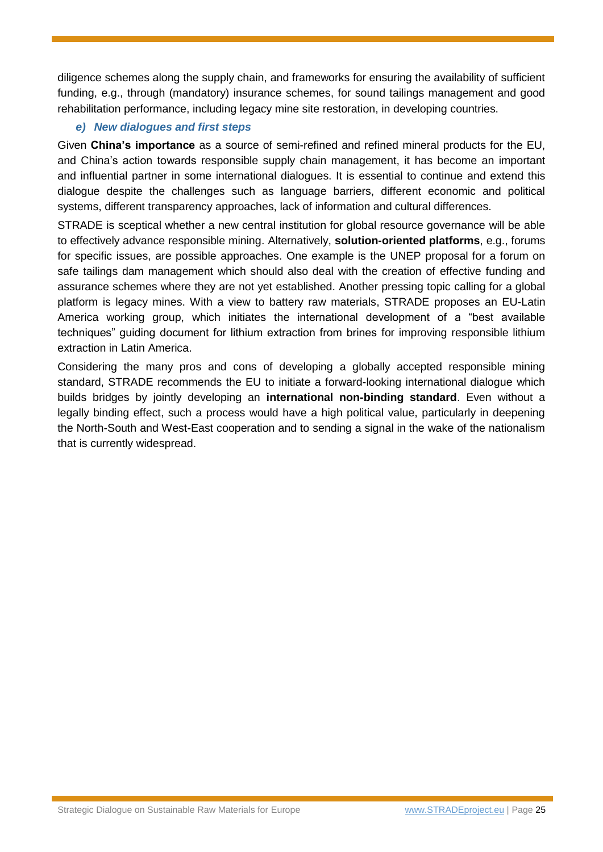diligence schemes along the supply chain, and frameworks for ensuring the availability of sufficient funding, e.g., through (mandatory) insurance schemes, for sound tailings management and good rehabilitation performance, including legacy mine site restoration, in developing countries.

## *e) New dialogues and first steps*

Given **China's importance** as a source of semi-refined and refined mineral products for the EU, and China's action towards responsible supply chain management, it has become an important and influential partner in some international dialogues. It is essential to continue and extend this dialogue despite the challenges such as language barriers, different economic and political systems, different transparency approaches, lack of information and cultural differences.

STRADE is sceptical whether a new central institution for global resource governance will be able to effectively advance responsible mining. Alternatively, **solution-oriented platforms**, e.g., forums for specific issues, are possible approaches. One example is the UNEP proposal for a forum on safe tailings dam management which should also deal with the creation of effective funding and assurance schemes where they are not yet established. Another pressing topic calling for a global platform is legacy mines. With a view to battery raw materials, STRADE proposes an EU-Latin America working group, which initiates the international development of a "best available techniques" guiding document for lithium extraction from brines for improving responsible lithium extraction in Latin America.

Considering the many pros and cons of developing a globally accepted responsible mining standard, STRADE recommends the EU to initiate a forward-looking international dialogue which builds bridges by jointly developing an **international non-binding standard**. Even without a legally binding effect, such a process would have a high political value, particularly in deepening the North-South and West-East cooperation and to sending a signal in the wake of the nationalism that is currently widespread.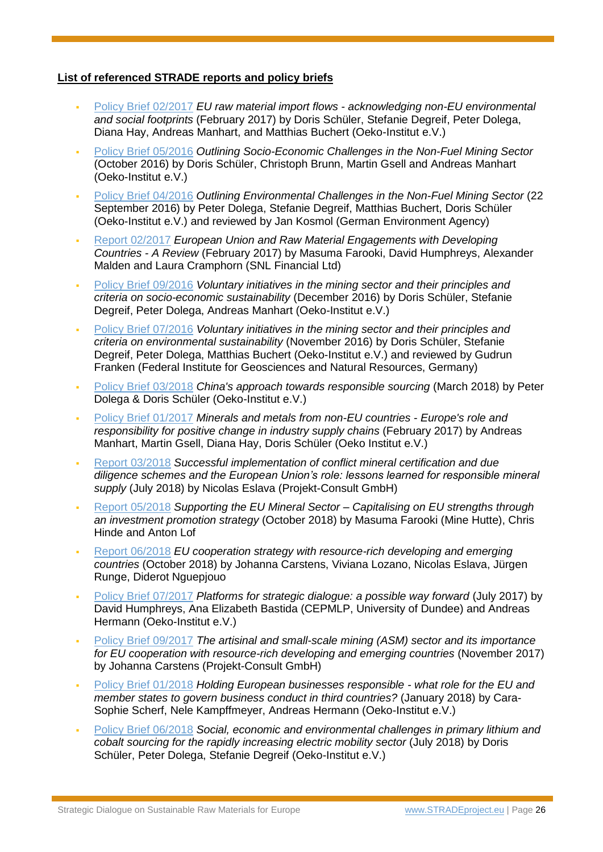## **List of referenced STRADE reports and policy briefs**

- [Policy Brief 02/2017](http://www.stradeproject.eu/fileadmin/user_upload/pdf/STRADEPolBrf_02-2017_RawMaterialFlows_Mar2017_FINAL.pdf) *EU raw material import flows - acknowledging non-EU environmental and social footprints* (February 2017) by Doris Schüler, Stefanie Degreif, Peter Dolega, Diana Hay, Andreas Manhart, and Matthias Buchert (Oeko-Institut e.V.)
- [Policy Brief 05/2016](http://www.stradeproject.eu/fileadmin/user_upload/pdf/PolicyBrief_05-2016_Oct2016_FINAL.pdf) *Outlining Socio-Economic Challenges in the Non-Fuel Mining Sector*  (October 2016) by Doris Schüler, Christoph Brunn, Martin Gsell and Andreas Manhart (Oeko-Institut e.V.)
- [Policy Brief 04/2016](http://www.stradeproject.eu/fileadmin/user_upload/pdf/PolicyBrief_04-2016_Sep2016_FINAL.pdf) *Outlining Environmental Challenges in the Non-Fuel Mining Sector* (22 September 2016) by Peter Dolega, Stefanie Degreif, Matthias Buchert, Doris Schüler (Oeko-Institut e.V.) and reviewed by Jan Kosmol (German Environment Agency)
- [Report 02/2017](http://www.stradeproject.eu/fileadmin/user_upload/pdf/STRADE_Rpt_D3-03_EU-RawMat_May2017_FINAL.pdf) *European Union and Raw Material Engagements with Developing Countries - A Review* (February 2017) by Masuma Farooki, David Humphreys, Alexander Malden and Laura Cramphorn (SNL Financial Ltd)
- [Policy Brief 09/2016](http://www.stradeproject.eu/fileadmin/user_upload/pdf/PolicyBrief_09-2016_Dec2016_FINAL.pdf) *Voluntary initiatives in the mining sector and their principles and criteria on socio-economic sustainability* (December 2016) by Doris Schüler, Stefanie Degreif, Peter Dolega, Andreas Manhart (Oeko-Institut e.V.)
- [Policy Brief 07/2016](http://www.stradeproject.eu/fileadmin/user_upload/pdf/STRADE_PB_07_OEI_Nov.2016.pdf) *Voluntary initiatives in the mining sector and their principles and criteria on environmental sustainability* (November 2016) by Doris Schüler, Stefanie Degreif, Peter Dolega, Matthias Buchert (Oeko-Institut e.V.) and reviewed by Gudrun Franken (Federal Institute for Geosciences and Natural Resources, Germany)
- [Policy Brief 03/2018](http://www.stradeproject.eu/fileadmin/user_upload/pdf/STRADE_PB_03_2018_China_responsible_sourcing.pdf) *China's approach towards responsible sourcing* (March 2018) by Peter Dolega & Doris Schüler (Oeko-Institut e.V.)
- [Policy Brief 01/2017](http://www.stradeproject.eu/fileadmin/user_upload/pdf/PolicyBrief_01-2017_Feb2017_FINAL.pdf) *Minerals and metals from non-EU countries - Europe's role and responsibility for positive change in industry supply chains* (February 2017) by Andreas Manhart, Martin Gsell, Diana Hay, Doris Schüler (Oeko Institut e.V.)
- [Report 03/2018](http://www.stradeproject.eu/fileadmin/user_upload/pdf/STRADE_Report_D4.19_Due_Diligence_Certification.pdf) *Successful implementation of conflict mineral certification and due diligence schemes and the European Union's role: lessons learned for responsible mineral supply* (July 2018) by Nicolas Eslava (Projekt-Consult GmbH)
- [Report 05/2018](http://www.stradeproject.eu/index.php?id=43) *Supporting the EU Mineral Sector – Capitalising on EU strengths through an investment promotion strategy* (October 2018) by Masuma Farooki (Mine Hutte), Chris Hinde and Anton Lof
- [Report 06/2018](http://www.stradeproject.eu/index.php?id=43) *EU cooperation strategy with resource-rich developing and emerging countries* (October 2018) by Johanna Carstens, Viviana Lozano, Nicolas Eslava, Jürgen Runge, Diderot Nguepjouo
- **[Policy Brief 07/2017](http://www.stradeproject.eu/fileadmin/user_upload/pdf/STRADE_PB07_D4-21_IRGA_Jul2017_FINAL.pdf)** *Platforms for strategic dialogue: a possible way forward (July 2017) by* David Humphreys, Ana Elizabeth Bastida (CEPMLP, University of Dundee) and Andreas Hermann (Oeko-Institut e.V.)
- [Policy Brief 09/2017](http://www.stradeproject.eu/fileadmin/user_upload/pdf/STRADE_PB09-2017_ASM_and_EU-cooperation.pdf) *The artisinal and small-scale mining (ASM) sector and its importance for EU cooperation with resource-rich developing and emerging countries (November 2017)* by Johanna Carstens (Projekt-Consult GmbH)
- [Policy Brief 01/2018](http://www.stradeproject.eu/fileadmin/user_upload/pdf/STRADE_PB_01-2018_Holding_European_businesses_responsible.pdf) *Holding European businesses responsible - what role for the EU and member states to govern business conduct in third countries?* (January 2018) by Cara-Sophie Scherf, Nele Kampffmeyer, Andreas Hermann (Oeko-Institut e.V.)
- [Policy Brief 06/2018](http://www.stradeproject.eu/fileadmin/user_upload/pdf/STRADE_PB_Li_Co_EMobility.pdf) *Social, economic and environmental challenges in primary lithium and cobalt sourcing for the rapidly increasing electric mobility sector* (July 2018) by Doris Schüler, Peter Dolega, Stefanie Degreif (Oeko-Institut e.V.)